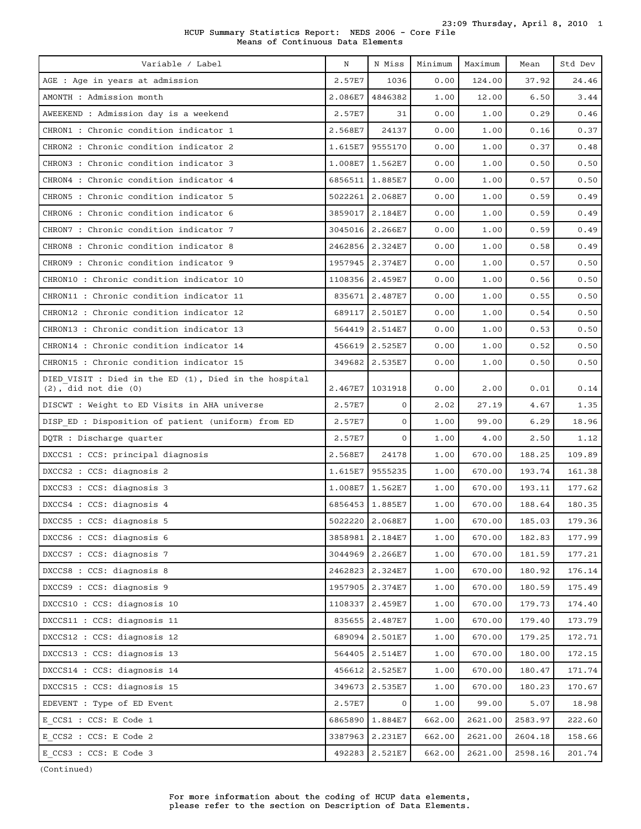HCUP Summary Statistics Report: NEDS 2006 - Core File Means of Continuous Data Elements

| Variable / Label                                                                   | N       | N Miss            | Minimum | Maximum | Mean    | Std Dev |
|------------------------------------------------------------------------------------|---------|-------------------|---------|---------|---------|---------|
| AGE : Age in years at admission                                                    | 2.57E7  | 1036              | 0.00    | 124.00  | 37.92   | 24.46   |
| AMONTH : Admission month                                                           | 2.086E7 | 4846382           | 1.00    | 12.00   | 6.50    | 3.44    |
| AWEEKEND : Admission day is a weekend                                              | 2.57E7  | 31                | 0.00    | 1.00    | 0.29    | 0.46    |
| CHRON1 : Chronic condition indicator 1                                             | 2.568E7 | 24137             | 0.00    | 1.00    | 0.16    | 0.37    |
| CHRON2 : Chronic condition indicator 2                                             |         | 1.615E7 9555170   | 0.00    | 1.00    | 0.37    | 0.48    |
| CHRON3 : Chronic condition indicator 3                                             | 1.008E7 | 1.562E7           | 0.00    | 1.00    | 0.50    | 0.50    |
| CHRON4 : Chronic condition indicator 4                                             |         | 6856511 1.885E7   | 0.00    | 1.00    | 0.57    | 0.50    |
| CHRON5 : Chronic condition indicator 5                                             |         | 5022261 2.068E7   | 0.00    | 1.00    | 0.59    | 0.49    |
| CHRON6 : Chronic condition indicator 6                                             |         | 3859017 2.184E7   | 0.00    | 1.00    | 0.59    | 0.49    |
| CHRON7 : Chronic condition indicator 7                                             |         | 3045016 2.266E7   | 0.00    | 1.00    | 0.59    | 0.49    |
| CHRON8 : Chronic condition indicator 8                                             |         | 2462856 2.324E7   | 0.00    | 1.00    | 0.58    | 0.49    |
| CHRON9: Chronic condition indicator 9                                              |         | 1957945 2.374E7   | 0.00    | 1.00    | 0.57    | 0.50    |
| CHRON10 : Chronic condition indicator 10                                           |         | 1108356 2.459E7   | 0.00    | 1.00    | 0.56    | 0.50    |
| CHRON11: Chronic condition indicator 11                                            |         | 835671 2.487E7    | 0.00    | 1.00    | 0.55    | 0.50    |
| CHRON12: Chronic condition indicator 12                                            |         | 689117 2.501E7    | 0.00    | 1.00    | 0.54    | 0.50    |
| CHRON13 : Chronic condition indicator 13                                           |         | 564419 2.514E7    | 0.00    | 1.00    | 0.53    | 0.50    |
| CHRON14 : Chronic condition indicator 14                                           |         | 456619 2.525E7    | 0.00    | 1.00    | 0.52    | 0.50    |
| CHRON15 : Chronic condition indicator 15                                           |         | 349682 2.535E7    | 0.00    | 1.00    | 0.50    | 0.50    |
| DIED VISIT : Died in the ED (1), Died in the hospital<br>$(2)$ , did not die $(0)$ |         | 2.467E7   1031918 | 0.00    | 2.00    | 0.01    | 0.14    |
| DISCWT : Weight to ED Visits in AHA universe                                       | 2.57E7  | $\mathbf{0}$      | 2.02    | 27.19   | 4.67    | 1.35    |
| DISP ED : Disposition of patient (uniform) from ED                                 | 2.57E7  | $\mathbf{O}$      | 1.00    | 99.00   | 6.29    | 18.96   |
| DQTR : Discharge quarter                                                           | 2.57E7  | $\mathbf{O}$      | 1.00    | 4.00    | 2.50    | 1.12    |
| DXCCS1 : CCS: principal diagnosis                                                  | 2.568E7 | 24178             | 1.00    | 670.00  | 188.25  | 109.89  |
| DXCCS2 : CCS: diagnosis 2                                                          |         | 1.615E7 9555235   | 1.00    | 670.00  | 193.74  | 161.38  |
| DXCCS3 : CCS: diagnosis 3                                                          |         | 1.008E7   1.562E7 | 1.00    | 670.00  | 193.11  | 177.62  |
| DXCCS4 : CCS: diagnosis 4                                                          |         | 6856453 1.885E7   | 1.00    | 670.00  | 188.64  | 180.35  |
| DXCCS5 : CCS: diagnosis 5                                                          |         | 5022220 2.068E7   | 1.00    | 670.00  | 185.03  | 179.36  |
| DXCCS6 : CCS: diagnosis 6                                                          |         | 3858981 2.184E7   | 1.00    | 670.00  | 182.83  | 177.99  |
| DXCCS7 : CCS: diagnosis 7                                                          |         | 3044969 2.266E7   | 1.00    | 670.00  | 181.59  | 177.21  |
| DXCCS8 : CCS: diagnosis 8                                                          |         | 2462823 2.324E7   | 1.00    | 670.00  | 180.92  | 176.14  |
| DXCCS9 : CCS: diagnosis 9                                                          |         | 1957905 2.374E7   | 1.00    | 670.00  | 180.59  | 175.49  |
| DXCCS10 : CCS: diagnosis 10                                                        |         | 1108337 2.459E7   | 1.00    | 670.00  | 179.73  | 174.40  |
| DXCCS11 : CCS: diagnosis 11                                                        |         | 835655 2.487E7    | 1.00    | 670.00  | 179.40  | 173.79  |
| DXCCS12 : CCS: diagnosis 12                                                        |         | 689094 2.501E7    | 1.00    | 670.00  | 179.25  | 172.71  |
| DXCCS13 : CCS: diagnosis 13                                                        |         | 564405 2.514E7    | 1.00    | 670.00  | 180.00  | 172.15  |
| DXCCS14 : CCS: diagnosis 14                                                        |         | 456612 2.525E7    | 1.00    | 670.00  | 180.47  | 171.74  |
| DXCCS15 : CCS: diagnosis 15                                                        |         | 349673 2.535E7    | 1.00    | 670.00  | 180.23  | 170.67  |
| EDEVENT : Type of ED Event                                                         | 2.57E7  | $\mathbf{0}$      | 1.00    | 99.00   | 5.07    | 18.98   |
| E CCS1 : CCS: E Code 1                                                             |         | 6865890 1.884E7   | 662.00  | 2621.00 | 2583.97 | 222.60  |
| E CCS2 : CCS: E Code 2                                                             |         | 3387963 2.231E7   | 662.00  | 2621.00 | 2604.18 | 158.66  |
| E CCS3 : CCS: E Code 3                                                             |         | 492283 2.521E7    | 662.00  | 2621.00 | 2598.16 | 201.74  |

(Continued)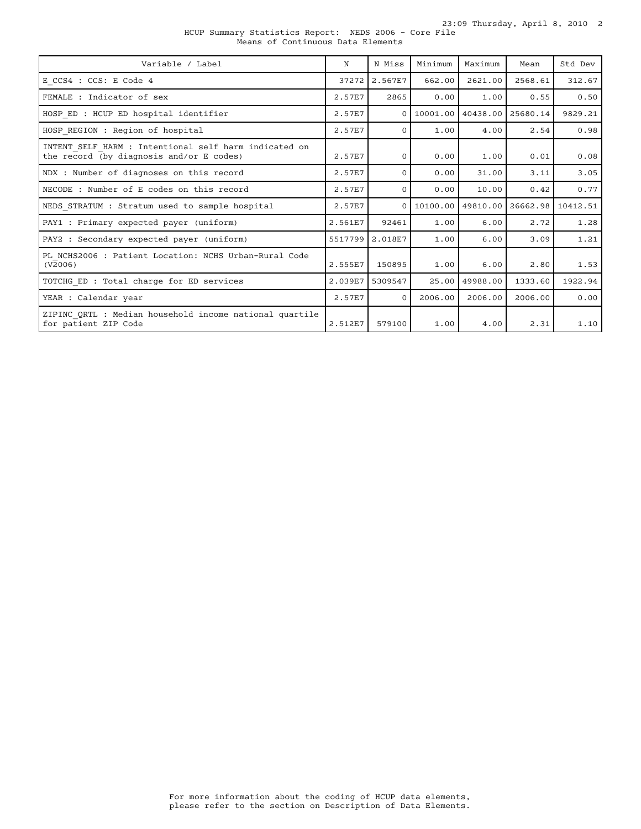23:09 Thursday, April 8, 2010 2

HCUP Summary Statistics Report: NEDS 2006 - Core File Means of Continuous Data Elements

| Variable / Label                                                                                  | N       | N Miss   | Minimum  | Maximum             | Mean     | Std Dev  |
|---------------------------------------------------------------------------------------------------|---------|----------|----------|---------------------|----------|----------|
| E CCS4 : CCS: E Code 4                                                                            | 37272   | 2.567E7  | 662.00   | 2621.00             | 2568.61  | 312.67   |
| FEMALE : Indicator of sex                                                                         | 2.57E7  | 2865     | 0.00     | 1.00                | 0.55     | 0.50     |
| HOSP ED : HCUP ED hospital identifier                                                             | 2.57E7  | $\Omega$ |          | 10001.00   40438.00 | 25680.14 | 9829.21  |
| HOSP REGION : Region of hospital                                                                  | 2.57E7  | $\Omega$ | 1.00     | 4.00                | 2.54     | 0.98     |
| INTENT SELF HARM : Intentional self harm indicated on<br>the record (by diagnosis and/or E codes) | 2.57E7  | $\Omega$ | 0.00     | 1.00                | 0.01     | 0.08     |
| NDX : Number of diagnoses on this record                                                          | 2.57E7  | $\Omega$ | 0.00     | 31.00               | 3.11     | 3.05     |
| NECODE : Number of E codes on this record                                                         | 2.57E7  | $\Omega$ | 0.00     | 10.00               | 0.42     | 0.77     |
| NEDS STRATUM : Stratum used to sample hospital                                                    | 2.57E7  | $\Omega$ | 10100.00 | 49810.00            | 26662.98 | 10412.51 |
| PAY1 : Primary expected payer (uniform)                                                           | 2.561E7 | 92461    | 1.00     | 6.00                | 2.72     | 1.28     |
| PAY2 : Secondary expected payer (uniform)                                                         | 5517799 | 2.018E7  | 1.00     | 6.00                | 3.09     | 1.21     |
| PL NCHS2006 : Patient Location: NCHS Urban-Rural Code<br>(V2006)                                  | 2.555E7 | 150895   | 1.00     | 6.00                | 2.80     | 1.53     |
| TOTCHG ED : Total charge for ED services                                                          | 2.039E7 | 5309547  | 25.00    | 49988.00            | 1333.60  | 1922.94  |
| YEAR : Calendar year                                                                              | 2.57E7  | $\Omega$ | 2006.00  | 2006.00             | 2006.00  | 0.00     |
| ZIPINC QRTL : Median household income national quartile<br>for patient ZIP Code                   | 2.512E7 | 579100   | 1.00     | 4.00                | 2.31     | 1.10     |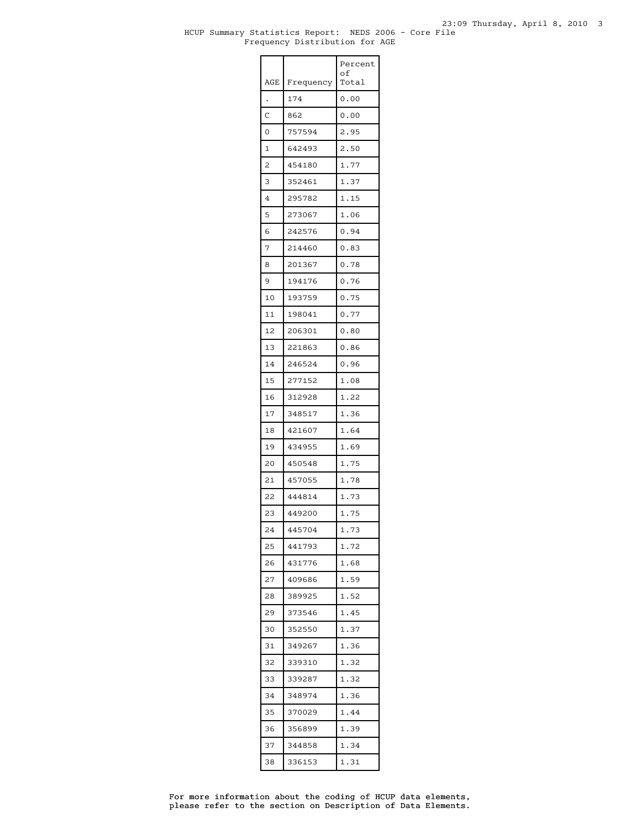#### HCUP Summary Statistics Report: NEDS 2006 - Core File Frequency Distribution for AGE

|     |           | Percent<br>оf |
|-----|-----------|---------------|
| AGE | Frequency | Total         |
|     | 174       | 0.00          |
| C   | 862       | 0.00          |
| 0   | 757594    | 2.95          |
| 1   | 642493    | 2.50          |
| 2   | 454180    | 1.77          |
| 3   | 352461    | 1.37          |
| 4   | 295782    | 1.15          |
| 5   | 273067    | 1.06          |
| 6   | 242576    | 0.94          |
| 7   | 214460    | 0.83          |
| 8   | 201367    | 0.78          |
| 9   | 194176    | 0.76          |
| 10  | 193759    | 0.75          |
| 11  | 198041    | 0.77          |
| 12  | 206301    | 0.80          |
| 13  | 221863    | 0.86          |
| 14  | 246524    | 0.96          |
| 15  | 277152    | 1.08          |
| 16  | 312928    | 1.22          |
| 17  | 348517    | 1.36          |
| 18  | 421607    | 1.64          |
| 19  | 434955    | 1.69          |
| 20  | 450548    | 1.75          |
| 21  | 457055    | 1.78          |
| 22  | 444814    | 1.73          |
| 23  | 449200    | 1.75          |
| 24  | 445704    | 1.73          |
| 25  | 441793    | 1.72          |
| 26  | 431776    | 1.68          |
| 27  | 409686    | 1.59          |
| 28  | 389925    | 1.52          |
| 29  | 373546    | 1.45          |
| 30  | 352550    | 1.37          |
| 31  | 349267    | 1.36          |
| 32  | 339310    | 1.32          |
| 33  | 339287    | 1.32          |
| 34  | 348974    | 1.36          |
| 35  | 370029    | 1.44          |
| 36  | 356899    | 1.39          |
| 37  | 344858    | 1.34          |
| 38  | 336153    | 1.31          |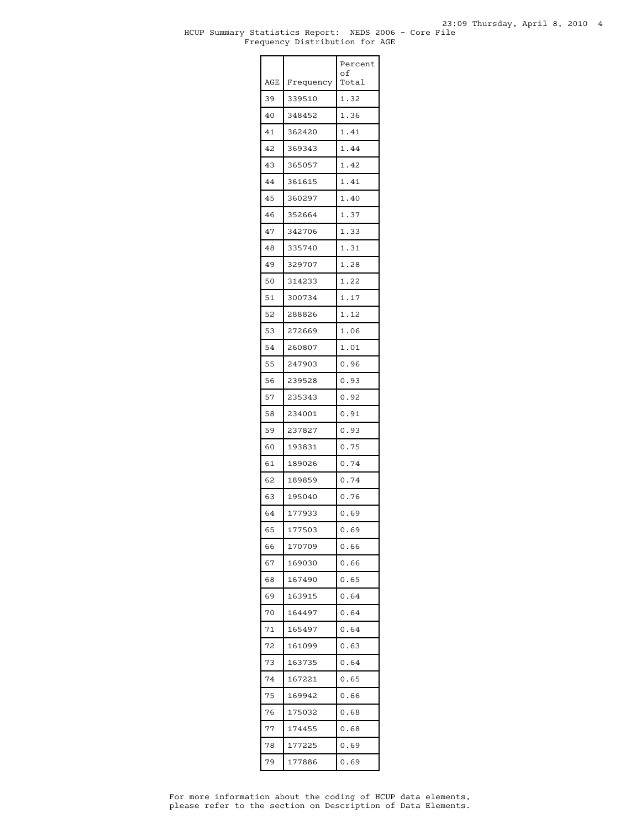|     |           | Percent<br>οf |
|-----|-----------|---------------|
| AGE | Frequency | Total         |
| 39  | 339510    | 1.32          |
| 40  | 348452    | 1.36          |
| 41  | 362420    | 1.41          |
| 42  | 369343    | 1.44          |
| 43  | 365057    | 1.42          |
| 44  | 361615    | 1.41          |
| 45  | 360297    | 1.40          |
| 46  | 352664    | 1.37          |
| 47  | 342706    | 1.33          |
| 48  | 335740    | 1.31          |
| 49  | 329707    | 1.28          |
| 50  | 314233    | 1.22          |
| 51  | 300734    | 1.17          |
| 52  | 288826    | 1.12          |
| 53  | 272669    | 1.06          |
| 54  | 260807    | 1.01          |
| 55  | 247903    | 0.96          |
| 56  | 239528    | 0.93          |
| 57  | 235343    | 0.92          |
| 58  | 234001    | 0.91          |
| 59  | 237827    | 0.93          |
| 60  | 193831    | 0.75          |
| 61  | 189026    | 0.74          |
| 62  | 189859    | 0.74          |
| 63  | 195040    | 0.76          |
| 64  | 177933    | 0.69          |
| 65  | 177503    | 0.69          |
| 66  | 170709    | 0.66          |
| 67  | 169030    | 0.66          |
| 68  | 167490    | 0.65          |
| 69  | 163915    | 0.64          |
| 70  | 164497    | 0.64          |
| 71  | 165497    | 0.64          |
| 72  | 161099    | 0.63          |
| 73  | 163735    | 0.64          |
| 74  | 167221    | 0.65          |
| 75  | 169942    | 0.66          |
| 76  | 175032    | 0.68          |
| 77  | 174455    | 0.68          |
| 78  | 177225    | 0.69          |
| 79  | 177886    | 0.69          |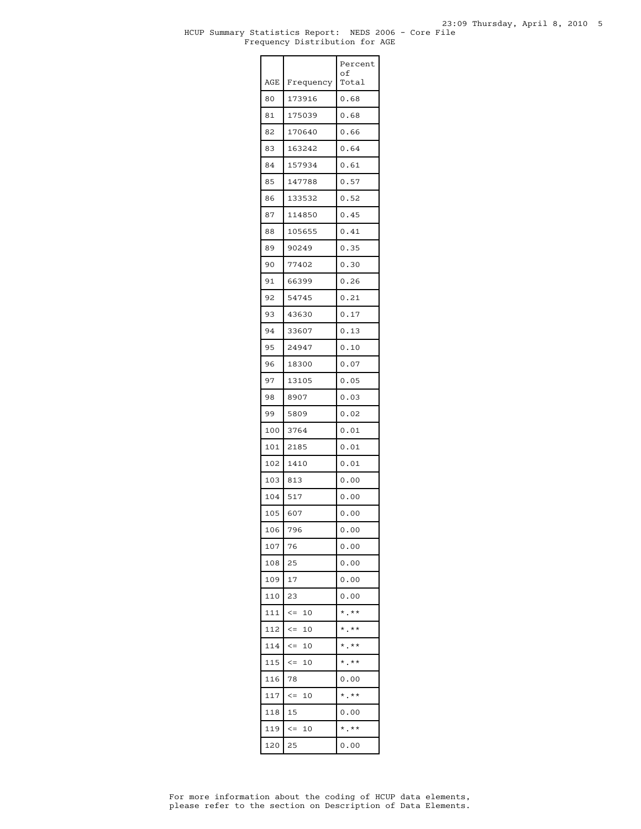|            |                  | Percent<br>οf |
|------------|------------------|---------------|
| <b>AGE</b> | Frequency        | Total         |
| 80         | 173916           | 0.68          |
| 81         | 175039           | 0.68          |
| 82         | 170640           | 0.66          |
| 83         | 163242           | 0.64          |
| 84         | 157934           | 0.61          |
| 85         | 147788           | 0.57          |
| 86         | 133532           | 0.52          |
| 87         | 114850           | 0.45          |
| 88         | 105655           | 0.41          |
| 89         | 90249            | 0.35          |
| 90         | 77402            | 0.30          |
| 91         | 66399            | 0.26          |
| 92         | 54745            | 0.21          |
| 93         | 43630            | 0.17          |
| 94         | 33607            | 0.13          |
| 95         | 24947            | 0.10          |
| 96         | 18300            | 0.07          |
| 97         | 13105            | 0.05          |
| 98         | 8907             | 0.03          |
| 99         | 5809             | 0.02          |
| 100        | 3764             | 0.01          |
| 101        | 2185             | 0.01          |
| 102        | 1410             | 0.01          |
| 103        | 813              | 0.00          |
| 104        | 517              | 0.00          |
| 105        | 607              | 0.00          |
| 106        | 796              | 0.00          |
| 107        | 76               | 0.00          |
| 108        | 25               | 0.00          |
| 109        | 17               | 0.00          |
| 110        | 23               | 0.00          |
| 111        | $\lt =$<br>10    | $*$ .**       |
| 112        | $\leq$ $=$<br>10 | $*$ $*$       |
| 114        | 10<br>$\lt =$    | $*$ .**       |
| 115        | 10<br>$\lt =$    | $*$ .**       |
| 116        | 78               | 0.00          |
| 117        | $\leq$<br>10     | $*$ .**       |
| 118        | 15               | 0.00          |
| 119        | $\leq$ $=$<br>10 | $*$ , $*$     |
| 120        | 25               | 0.00          |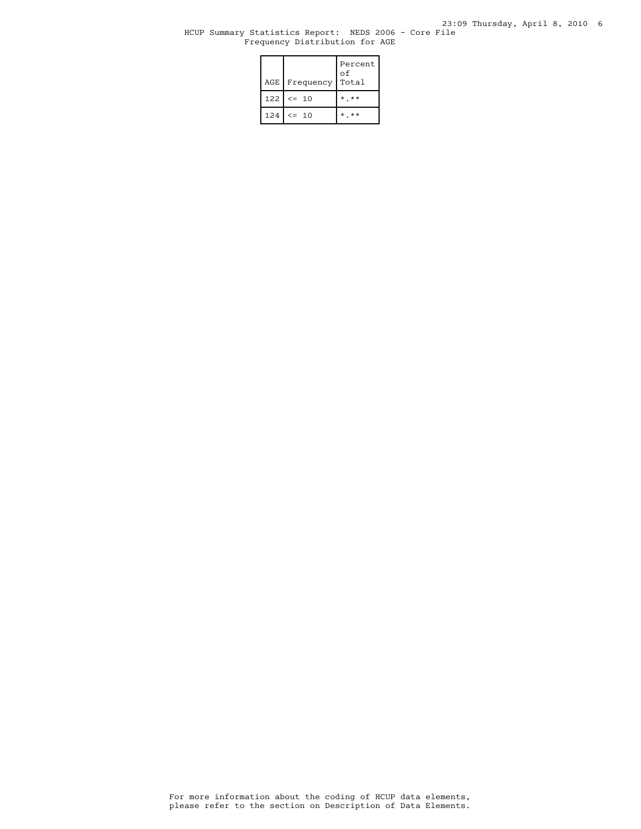### HCUP Summary Statistics Report: NEDS 2006 - Core File Frequency Distribution for AGE

| AGE Frequency   | Percent<br>οf<br>Total |
|-----------------|------------------------|
| $122$ $\le$ 10  | $*$ $*$                |
| $124$ $\leq$ 10 | * **                   |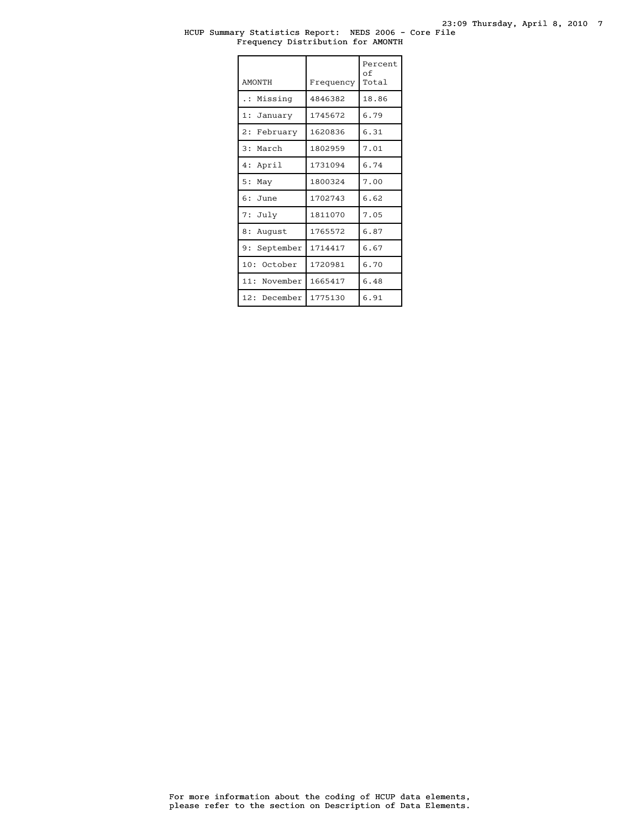#### HCUP Summary Statistics Report: NEDS 2006 - Core File Frequency Distribution for AMONTH

| <b>AMONTH</b>        | Frequency | Percent<br>of<br>Total |
|----------------------|-----------|------------------------|
| Missing<br>$\cdot$ : | 4846382   | 18.86                  |
| 1: January           | 1745672   | 6.79                   |
| 2: February          | 1620836   | 6.31                   |
| 3: March             | 1802959   | 7.01                   |
| 4: April             | 1731094   | 6.74                   |
| 5:<br>May            | 1800324   | 7.00                   |
| $6:$ June            | 1702743   | 6.62                   |
| 7: July              | 1811070   | 7.05                   |
| 8:<br>August         | 1765572   | 6.87                   |
| 9: September         | 1714417   | 6.67                   |
| 10:<br>October       | 1720981   | 6.70                   |
| 11: November         | 1665417   | 6.48                   |
| 12: December         | 1775130   | 6.91                   |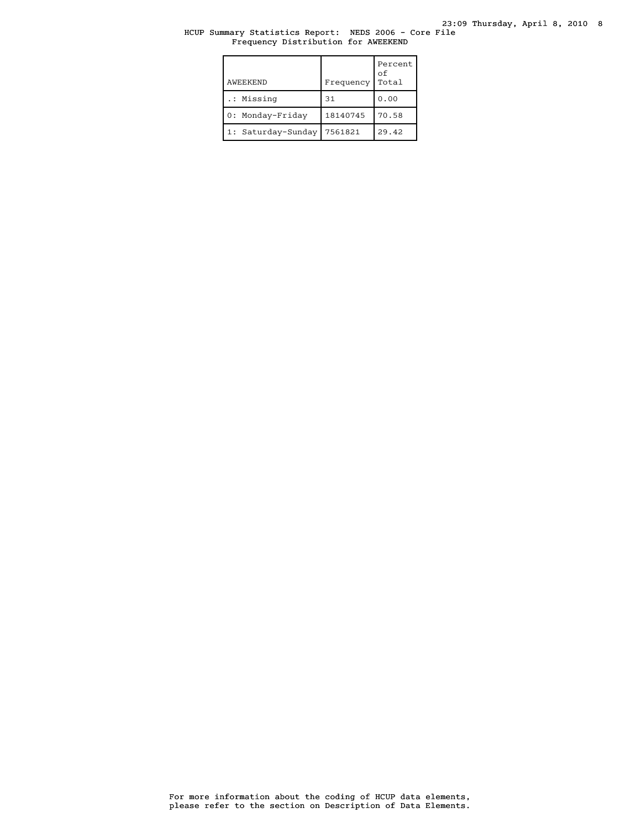### HCUP Summary Statistics Report: NEDS 2006 - Core File Frequency Distribution for AWEEKEND

| AWEEKEND           | Frequency | Percent<br>оf<br>Total |
|--------------------|-----------|------------------------|
| .: Missing         | 31        | 0.00                   |
| 0: Monday-Friday   | 18140745  | 70.58                  |
| 1: Saturday-Sunday | 7561821   | 29.42                  |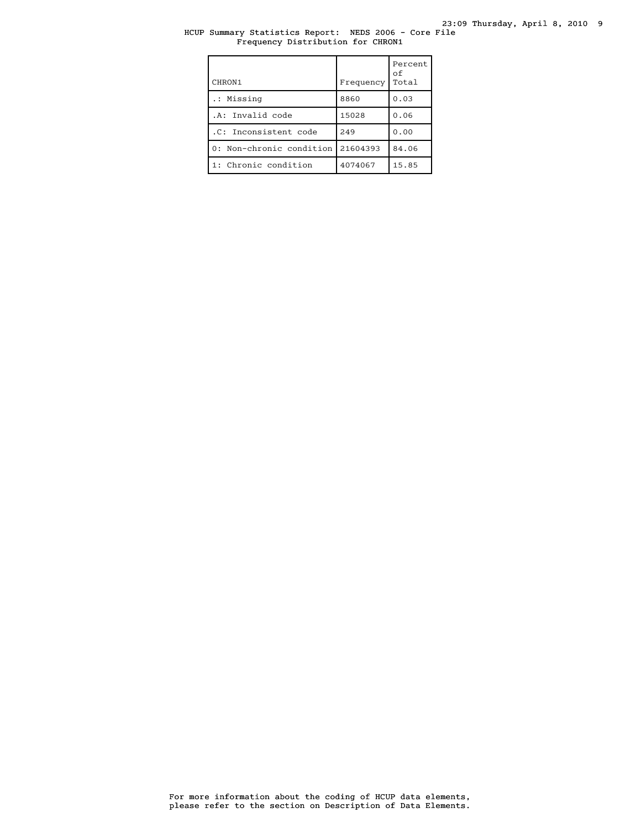### HCUP Summary Statistics Report: NEDS 2006 - Core File Frequency Distribution for CHRON1

| CHRON1                            | Frequency | Percent<br>οf<br>Total |
|-----------------------------------|-----------|------------------------|
| .: Missing                        | 8860      | 0.03                   |
| .A: Invalid code                  | 15028     | 0.06                   |
| .C: Inconsistent code             | 249       | 0.00                   |
| 0: Non-chronic condition 21604393 |           | 84.06                  |
| 1: Chronic condition              | 4074067   | 15.85                  |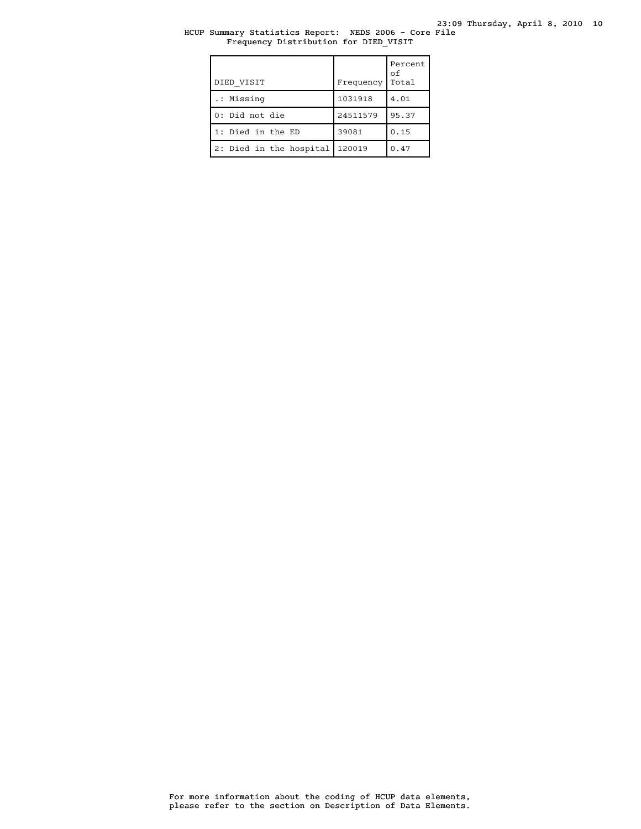# HCUP Summary Statistics Report: NEDS 2006 - Core File Frequency Distribution for DIED\_VISIT

| DIED VISIT              | Frequency | Percent<br>оf<br>Total |
|-------------------------|-----------|------------------------|
| .: Missing              | 1031918   | 4.01                   |
| 0: Did not die          | 24511579  | 95.37                  |
| 1: Died in the ED       | 39081     | 0.15                   |
| 2: Died in the hospital | 120019    | 0.47                   |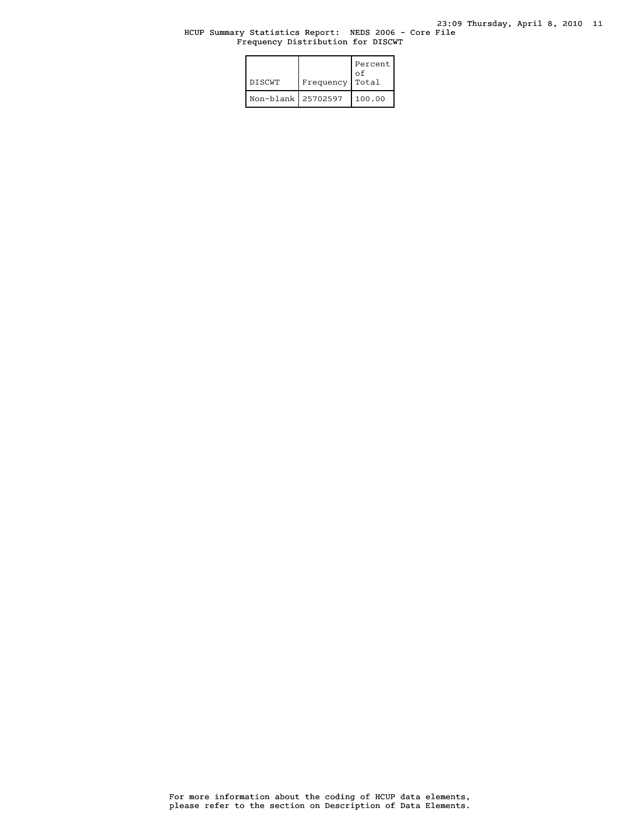# HCUP Summary Statistics Report: NEDS 2006 - Core File Frequency Distribution for DISCWT

| <b>DISCWT</b>      | Frequency | Percent<br>n t<br>Total |
|--------------------|-----------|-------------------------|
| Non-blank 25702597 |           | 100.00                  |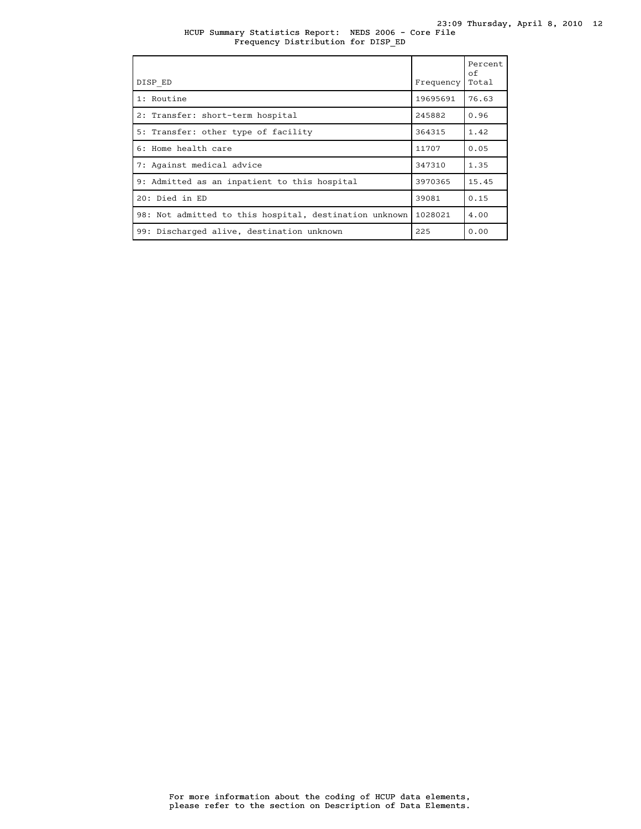|  |  | HCUP Summary Statistics Report: NEDS 2006 - Core File |  |  |  |
|--|--|-------------------------------------------------------|--|--|--|
|  |  | Frequency Distribution for DISP ED                    |  |  |  |

| DISP ED                                                | Frequency | Percent<br>of<br>Total |
|--------------------------------------------------------|-----------|------------------------|
| 1: Routine                                             | 19695691  | 76.63                  |
| 2: Transfer: short-term hospital                       | 245882    | 0.96                   |
| 5: Transfer: other type of facility                    | 364315    | 1.42                   |
| 6: Home health care                                    | 11707     | 0.05                   |
| 7: Against medical advice                              | 347310    | 1.35                   |
| 9: Admitted as an inpatient to this hospital           | 3970365   | 15.45                  |
| 20: Died in ED                                         | 39081     | 0.15                   |
| 98: Not admitted to this hospital, destination unknown | 1028021   | 4.00                   |
| 99: Discharged alive, destination unknown              | 225       | 0.00                   |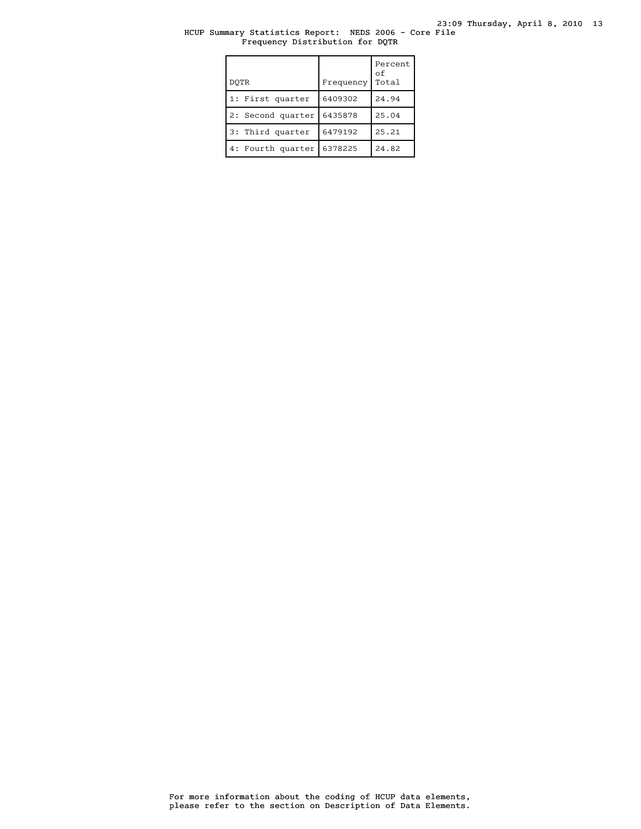# HCUP Summary Statistics Report: NEDS 2006 - Core File Frequency Distribution for DQTR

| DOTR              | Frequency | Percent<br>оf<br>Total |
|-------------------|-----------|------------------------|
| 1: First quarter  | 6409302   | 24.94                  |
| 2: Second quarter | 6435878   | 25.04                  |
| 3: Third quarter  | 6479192   | 25.21                  |
| 4: Fourth quarter | 6378225   | 24.82                  |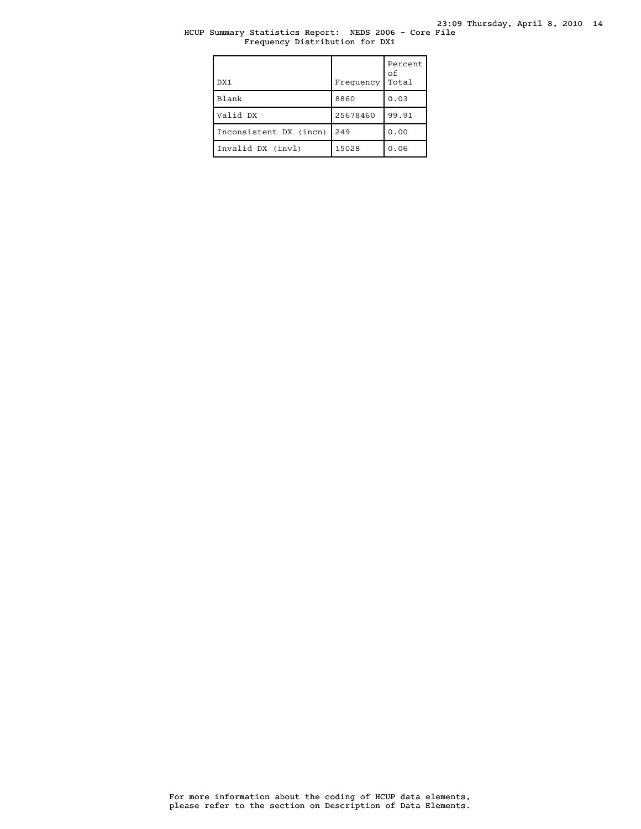# HCUP Summary Statistics Report: NEDS 2006 - Core File Frequency Distribution for DX1

| DX1                    | Frequency | Percent<br>οf<br>Total |
|------------------------|-----------|------------------------|
| Blank                  | 8860      | 0.03                   |
| Valid DX               | 25678460  | 99.91                  |
| Inconsistent DX (incn) | 249       | 0.00                   |
| Invalid DX (invl)      | 15028     | 0.06                   |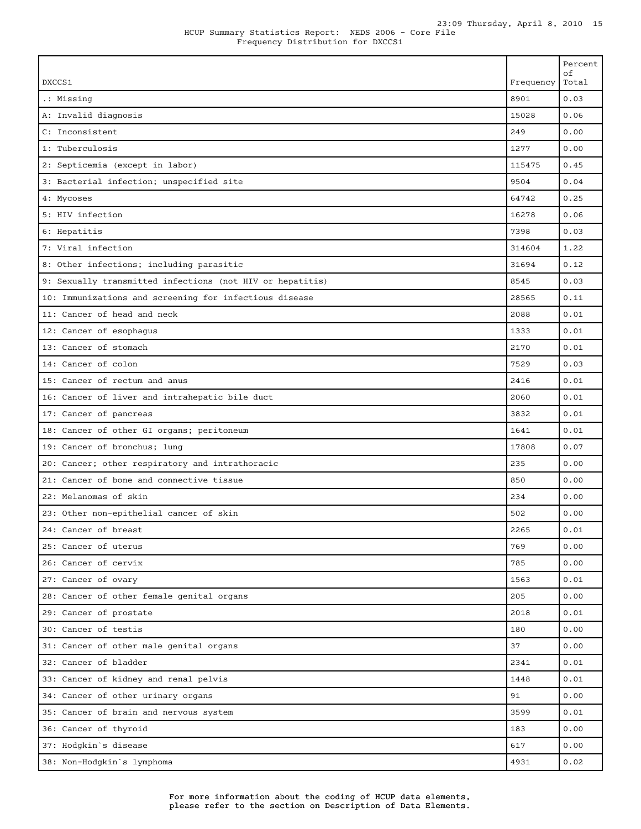| DXCCS1                                                    | Frequency | Percent<br>оf<br>Total |
|-----------------------------------------------------------|-----------|------------------------|
| .: Missing                                                | 8901      | 0.03                   |
| A: Invalid diagnosis                                      | 15028     | 0.06                   |
| C: Inconsistent                                           | 249       | 0.00                   |
| 1: Tuberculosis                                           | 1277      | 0.00                   |
| 2: Septicemia (except in labor)                           | 115475    | 0.45                   |
| 3: Bacterial infection; unspecified site                  | 9504      | 0.04                   |
| 4: Mycoses                                                | 64742     | 0.25                   |
| 5: HIV infection                                          | 16278     | 0.06                   |
| 6: Hepatitis                                              | 7398      | 0.03                   |
| 7: Viral infection                                        | 314604    | 1.22                   |
| 8: Other infections; including parasitic                  | 31694     | 0.12                   |
| 9: Sexually transmitted infections (not HIV or hepatitis) | 8545      | 0.03                   |
| 10: Immunizations and screening for infectious disease    | 28565     | 0.11                   |
| 11: Cancer of head and neck                               | 2088      | 0.01                   |
| 12: Cancer of esophagus                                   | 1333      | 0.01                   |
| 13: Cancer of stomach                                     | 2170      | 0.01                   |
| 14: Cancer of colon                                       | 7529      | 0.03                   |
| 15: Cancer of rectum and anus                             | 2416      | 0.01                   |
| 16: Cancer of liver and intrahepatic bile duct            | 2060      | 0.01                   |
| 17: Cancer of pancreas                                    | 3832      | 0.01                   |
| 18: Cancer of other GI organs; peritoneum                 | 1641      | 0.01                   |
| 19: Cancer of bronchus; lung                              | 17808     | 0.07                   |
| 20: Cancer; other respiratory and intrathoracic           | 235       | 0.00                   |
| 21: Cancer of bone and connective tissue                  | 850       | 0.00                   |
| 22: Melanomas of skin                                     | 234       | 0.00                   |
| 23: Other non-epithelial cancer of skin                   | 502       | 0.00                   |
| 24: Cancer of breast                                      | 2265      | 0.01                   |
| 25: Cancer of uterus                                      | 769       | 0.00                   |
| 26: Cancer of cervix                                      | 785       | 0.00                   |
| 27: Cancer of ovary                                       | 1563      | 0.01                   |
| 28: Cancer of other female genital organs                 | 205       | 0.00                   |
| 29: Cancer of prostate                                    | 2018      | 0.01                   |
| 30: Cancer of testis                                      | 180       | 0.00                   |
| 31: Cancer of other male genital organs                   | 37        | 0.00                   |
| 32: Cancer of bladder                                     | 2341      | 0.01                   |
| 33: Cancer of kidney and renal pelvis                     | 1448      | 0.01                   |
| 34: Cancer of other urinary organs                        | 91        | 0.00                   |
| 35: Cancer of brain and nervous system                    | 3599      | 0.01                   |
| 36: Cancer of thyroid                                     | 183       | 0.00                   |
| 37: Hodgkin's disease                                     | 617       | 0.00                   |

38: Non-Hodgkin`s lymphoma 4931 0.02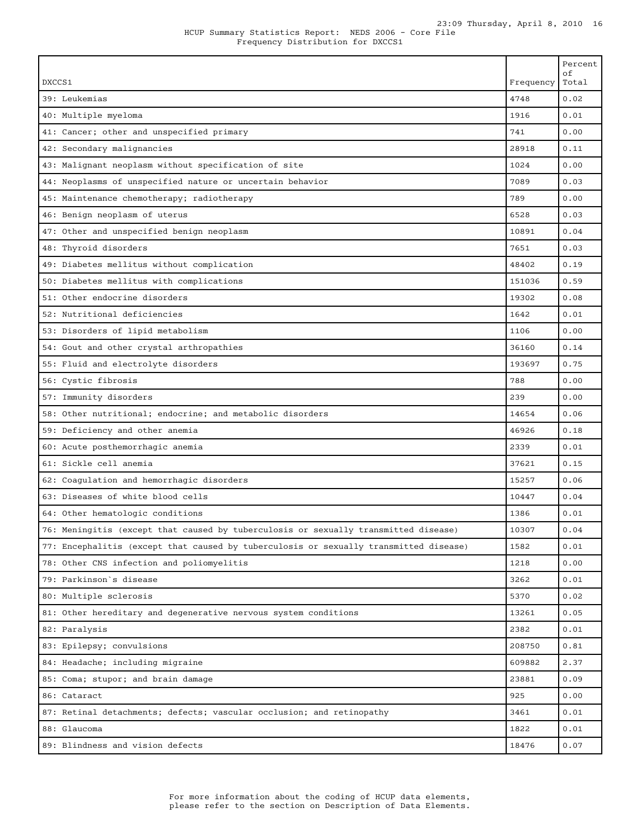|                                                                                       |           | Percent<br>οf |
|---------------------------------------------------------------------------------------|-----------|---------------|
| DXCCS1                                                                                | Frequency | Total         |
| 39: Leukemias                                                                         | 4748      | 0.02          |
| 40: Multiple myeloma                                                                  | 1916      | 0.01          |
| 41: Cancer; other and unspecified primary                                             | 741       | 0.00          |
| 42: Secondary malignancies                                                            | 28918     | 0.11          |
| 43: Malignant neoplasm without specification of site                                  | 1024      | 0.00          |
| 44: Neoplasms of unspecified nature or uncertain behavior                             | 7089      | 0.03          |
| 45: Maintenance chemotherapy; radiotherapy                                            | 789       | 0.00          |
| 46: Benign neoplasm of uterus                                                         | 6528      | 0.03          |
| 47: Other and unspecified benign neoplasm                                             | 10891     | 0.04          |
| 48: Thyroid disorders                                                                 | 7651      | 0.03          |
| 49: Diabetes mellitus without complication                                            | 48402     | 0.19          |
| 50: Diabetes mellitus with complications                                              | 151036    | 0.59          |
| 51: Other endocrine disorders                                                         | 19302     | 0.08          |
| 52: Nutritional deficiencies                                                          | 1642      | 0.01          |
| 53: Disorders of lipid metabolism                                                     | 1106      | 0.00          |
| 54: Gout and other crystal arthropathies                                              | 36160     | 0.14          |
| 55: Fluid and electrolyte disorders                                                   | 193697    | 0.75          |
| 56: Cystic fibrosis                                                                   | 788       | 0.00          |
| 57: Immunity disorders                                                                | 239       | 0.00          |
| 58: Other nutritional; endocrine; and metabolic disorders                             | 14654     | 0.06          |
| 59: Deficiency and other anemia                                                       | 46926     | 0.18          |
| 60: Acute posthemorrhagic anemia                                                      | 2339      | 0.01          |
| 61: Sickle cell anemia                                                                | 37621     | 0.15          |
| 62: Coagulation and hemorrhagic disorders                                             | 15257     | 0.06          |
| 63: Diseases of white blood cells                                                     | 10447     | 0.04          |
| 64: Other hematologic conditions                                                      | 1386      | 0.01          |
| 76: Meningitis (except that caused by tuberculosis or sexually transmitted disease)   | 10307     | 0.04          |
| 77: Encephalitis (except that caused by tuberculosis or sexually transmitted disease) | 1582      | 0.01          |
| 78: Other CNS infection and poliomyelitis                                             | 1218      | 0.00          |
| 79: Parkinson`s disease                                                               | 3262      | 0.01          |
| 80: Multiple sclerosis                                                                | 5370      | 0.02          |
| 81: Other hereditary and degenerative nervous system conditions                       | 13261     | 0.05          |
| 82: Paralysis                                                                         | 2382      | 0.01          |
| 83: Epilepsy; convulsions                                                             | 208750    | 0.81          |
| 84: Headache; including migraine                                                      | 609882    | 2.37          |
| 85: Coma; stupor; and brain damage                                                    | 23881     | 0.09          |
| 86: Cataract                                                                          | 925       | 0.00          |
| 87: Retinal detachments; defects; vascular occlusion; and retinopathy                 | 3461      | 0.01          |
| 88: Glaucoma                                                                          | 1822      | 0.01          |
|                                                                                       |           |               |

89: Blindness and vision defects 18476 0.07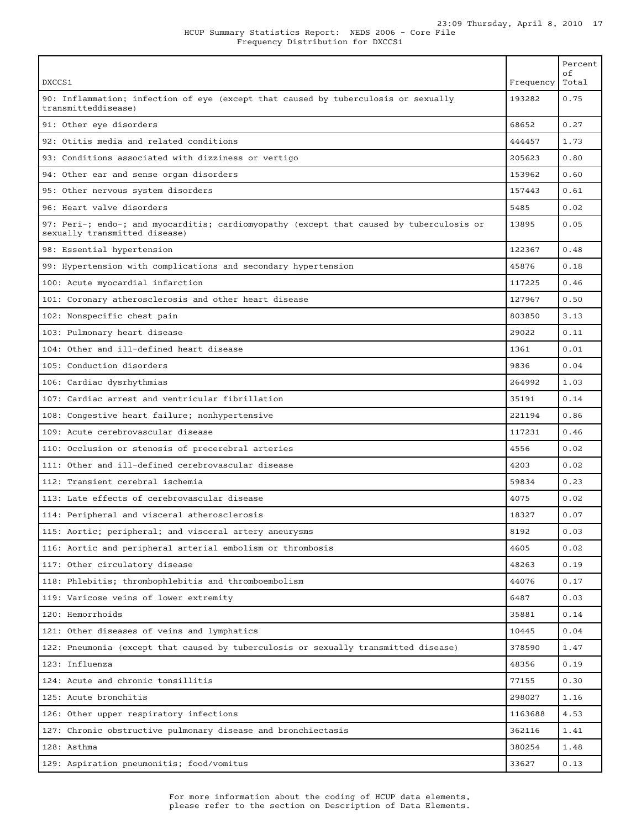| DXCCS1                                                                                                                    | Frequency | Percent<br>οf<br>Total |
|---------------------------------------------------------------------------------------------------------------------------|-----------|------------------------|
| 90: Inflammation; infection of eye (except that caused by tuberculosis or sexually<br>transmitteddisease)                 | 193282    | 0.75                   |
| 91: Other eye disorders                                                                                                   | 68652     | 0.27                   |
| 92: Otitis media and related conditions                                                                                   | 444457    | 1.73                   |
| 93: Conditions associated with dizziness or vertigo                                                                       | 205623    | 0.80                   |
| 94: Other ear and sense organ disorders                                                                                   | 153962    | 0.60                   |
| 95: Other nervous system disorders                                                                                        | 157443    | 0.61                   |
| 96: Heart valve disorders                                                                                                 | 5485      | 0.02                   |
| 97: Peri-; endo-; and myocarditis; cardiomyopathy (except that caused by tuberculosis or<br>sexually transmitted disease) | 13895     | 0.05                   |
| 98: Essential hypertension                                                                                                | 122367    | 0.48                   |
| 99: Hypertension with complications and secondary hypertension                                                            | 45876     | 0.18                   |
| 100: Acute myocardial infarction                                                                                          | 117225    | 0.46                   |
| 101: Coronary atherosclerosis and other heart disease                                                                     | 127967    | 0.50                   |
| 102: Nonspecific chest pain                                                                                               | 803850    | 3.13                   |
| 103: Pulmonary heart disease                                                                                              | 29022     | 0.11                   |
| 104: Other and ill-defined heart disease                                                                                  | 1361      | 0.01                   |
| 105: Conduction disorders                                                                                                 | 9836      | 0.04                   |
| 106: Cardiac dysrhythmias                                                                                                 | 264992    | 1.03                   |
| 107: Cardiac arrest and ventricular fibrillation                                                                          | 35191     | 0.14                   |
| 108: Congestive heart failure; nonhypertensive                                                                            | 221194    | 0.86                   |
| 109: Acute cerebrovascular disease                                                                                        | 117231    | 0.46                   |
| 110: Occlusion or stenosis of precerebral arteries                                                                        | 4556      | 0.02                   |
| 111: Other and ill-defined cerebrovascular disease                                                                        | 4203      | 0.02                   |
| 112: Transient cerebral ischemia                                                                                          | 59834     | 0.23                   |
| 113: Late effects of cerebrovascular disease                                                                              | 4075      | 0.02                   |
| 114: Peripheral and visceral atherosclerosis                                                                              | 18327     | 0.07                   |
| 115: Aortic; peripheral; and visceral artery aneurysms                                                                    | 8192      | 0.03                   |
| 116: Aortic and peripheral arterial embolism or thrombosis                                                                | 4605      | 0.02                   |
| 117: Other circulatory disease                                                                                            | 48263     | 0.19                   |
| 118: Phlebitis; thrombophlebitis and thromboembolism                                                                      | 44076     | 0.17                   |
| 119: Varicose veins of lower extremity                                                                                    | 6487      | 0.03                   |
| 120: Hemorrhoids                                                                                                          | 35881     | 0.14                   |
| 121: Other diseases of veins and lymphatics                                                                               | 10445     | 0.04                   |
| 122: Pneumonia (except that caused by tuberculosis or sexually transmitted disease)                                       | 378590    | 1.47                   |
| 123: Influenza                                                                                                            | 48356     | 0.19                   |
| 124: Acute and chronic tonsillitis                                                                                        | 77155     | 0.30                   |
| 125: Acute bronchitis                                                                                                     | 298027    | 1.16                   |
| 126: Other upper respiratory infections                                                                                   | 1163688   | 4.53                   |
| 127: Chronic obstructive pulmonary disease and bronchiectasis                                                             | 362116    | 1.41                   |
| 128: Asthma                                                                                                               | 380254    | 1.48                   |
| 129: Aspiration pneumonitis; food/vomitus                                                                                 | 33627     | 0.13                   |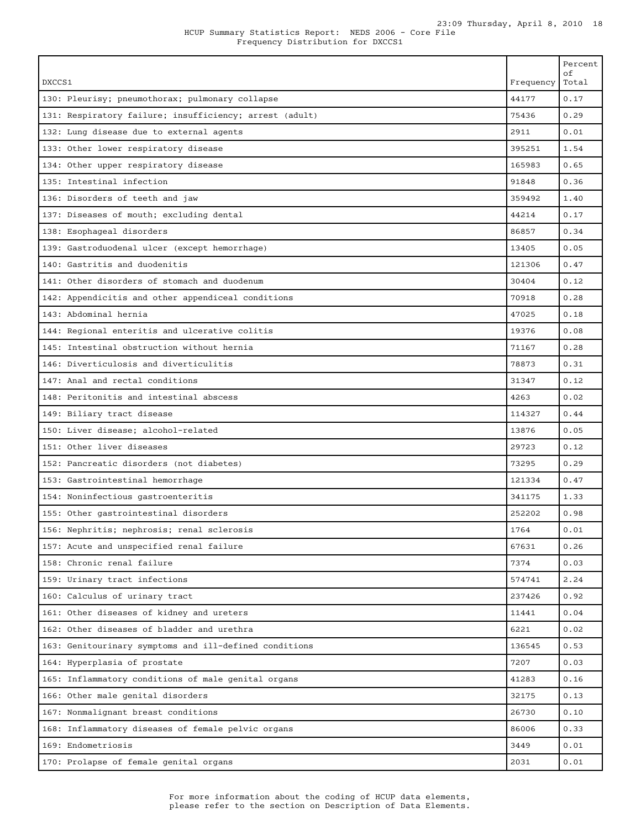| DXCCS1                                                  | Frequency | Percent<br>οf<br>Total |
|---------------------------------------------------------|-----------|------------------------|
| 130: Pleurisy; pneumothorax; pulmonary collapse         | 44177     | 0.17                   |
| 131: Respiratory failure; insufficiency; arrest (adult) | 75436     | 0.29                   |
| 132: Lung disease due to external agents                | 2911      | 0.01                   |
| 133: Other lower respiratory disease                    | 395251    | 1.54                   |
| 134: Other upper respiratory disease                    | 165983    | 0.65                   |
| 135: Intestinal infection                               | 91848     | 0.36                   |
| 136: Disorders of teeth and jaw                         | 359492    | 1.40                   |
| 137: Diseases of mouth; excluding dental                | 44214     | 0.17                   |
| 138: Esophageal disorders                               | 86857     | 0.34                   |
| 139: Gastroduodenal ulcer (except hemorrhage)           | 13405     | 0.05                   |
| 140: Gastritis and duodenitis                           | 121306    | 0.47                   |
| 141: Other disorders of stomach and duodenum            | 30404     | 0.12                   |
| 142: Appendicitis and other appendiceal conditions      | 70918     | 0.28                   |
| 143: Abdominal hernia                                   | 47025     | 0.18                   |
| 144: Regional enteritis and ulcerative colitis          | 19376     | 0.08                   |
| 145: Intestinal obstruction without hernia              | 71167     | 0.28                   |
| 146: Diverticulosis and diverticulitis                  | 78873     | 0.31                   |
| 147: Anal and rectal conditions                         | 31347     | 0.12                   |
| 148: Peritonitis and intestinal abscess                 | 4263      | 0.02                   |
| 149: Biliary tract disease                              | 114327    | 0.44                   |
| 150: Liver disease; alcohol-related                     | 13876     | 0.05                   |
| 151: Other liver diseases                               | 29723     | 0.12                   |
| 152: Pancreatic disorders (not diabetes)                | 73295     | 0.29                   |
| 153: Gastrointestinal hemorrhage                        | 121334    | 0.47                   |
| 154: Noninfectious gastroenteritis                      | 341175    | 1.33                   |
| 155: Other gastrointestinal disorders                   | 252202    | 0.98                   |
| 156: Nephritis; nephrosis; renal sclerosis              | 1764      | 0.01                   |
| 157: Acute and unspecified renal failure                | 67631     | 0.26                   |
| 158: Chronic renal failure                              | 7374      | 0.03                   |
| 159: Urinary tract infections                           | 574741    | 2.24                   |
| 160: Calculus of urinary tract                          | 237426    | 0.92                   |
| 161: Other diseases of kidney and ureters               | 11441     | 0.04                   |
| 162: Other diseases of bladder and urethra              | 6221      | 0.02                   |
| 163: Genitourinary symptoms and ill-defined conditions  | 136545    | 0.53                   |
| 164: Hyperplasia of prostate                            | 7207      | 0.03                   |
| 165: Inflammatory conditions of male genital organs     | 41283     | 0.16                   |
| 166: Other male genital disorders                       | 32175     | 0.13                   |
| 167: Nonmalignant breast conditions                     | 26730     | 0.10                   |
| 168: Inflammatory diseases of female pelvic organs      | 86006     | 0.33                   |
| 169: Endometriosis                                      | 3449      | 0.01                   |
| 170: Prolapse of female genital organs                  | 2031      | 0.01                   |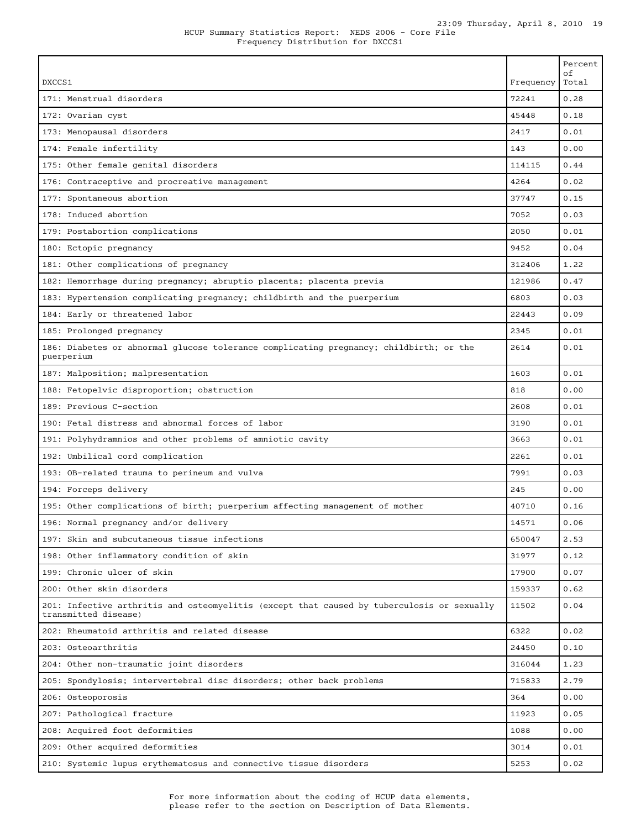|                                                                                                                    |           | Percent<br>οf |
|--------------------------------------------------------------------------------------------------------------------|-----------|---------------|
| DXCCS1                                                                                                             | Frequency | Total         |
| 171: Menstrual disorders                                                                                           | 72241     | 0.28          |
| 172: Ovarian cyst                                                                                                  | 45448     | 0.18          |
| 173: Menopausal disorders                                                                                          | 2417      | 0.01          |
| 174: Female infertility                                                                                            | 143       | 0.00          |
| 175: Other female genital disorders                                                                                | 114115    | 0.44          |
| 176: Contraceptive and procreative management                                                                      | 4264      | 0.02          |
| 177: Spontaneous abortion                                                                                          | 37747     | 0.15          |
| 178: Induced abortion                                                                                              | 7052      | 0.03          |
| 179: Postabortion complications                                                                                    | 2050      | 0.01          |
| 180: Ectopic pregnancy                                                                                             | 9452      | 0.04          |
| 181: Other complications of pregnancy                                                                              | 312406    | 1.22          |
| 182: Hemorrhage during pregnancy; abruptio placenta; placenta previa                                               | 121986    | 0.47          |
| 183: Hypertension complicating pregnancy; childbirth and the puerperium                                            | 6803      | 0.03          |
| 184: Early or threatened labor                                                                                     | 22443     | 0.09          |
| 185: Prolonged pregnancy                                                                                           | 2345      | 0.01          |
| 186: Diabetes or abnormal glucose tolerance complicating pregnancy; childbirth; or the<br>puerperium               | 2614      | 0.01          |
| 187: Malposition; malpresentation                                                                                  | 1603      | 0.01          |
| 188: Fetopelvic disproportion; obstruction                                                                         | 818       | 0.00          |
| 189: Previous C-section                                                                                            | 2608      | 0.01          |
| 190: Fetal distress and abnormal forces of labor                                                                   | 3190      | 0.01          |
| 191: Polyhydramnios and other problems of amniotic cavity                                                          | 3663      | 0.01          |
| 192: Umbilical cord complication                                                                                   | 2261      | 0.01          |
| 193: OB-related trauma to perineum and vulva                                                                       | 7991      | 0.03          |
| 194: Forceps delivery                                                                                              | 245       | 0.00          |
| 195: Other complications of birth; puerperium affecting management of mother                                       | 40710     | 0.16          |
| 196: Normal pregnancy and/or delivery                                                                              | 14571     | 0.06          |
| 197: Skin and subcutaneous tissue infections                                                                       | 650047    | 2.53          |
| 198: Other inflammatory condition of skin                                                                          | 31977     | 0.12          |
| 199: Chronic ulcer of skin                                                                                         | 17900     | 0.07          |
| 200: Other skin disorders                                                                                          | 159337    | 0.62          |
| 201: Infective arthritis and osteomyelitis (except that caused by tuberculosis or sexually<br>transmitted disease) | 11502     | 0.04          |
| 202: Rheumatoid arthritis and related disease                                                                      | 6322      | 0.02          |
| 203: Osteoarthritis                                                                                                | 24450     | 0.10          |
| 204: Other non-traumatic joint disorders                                                                           | 316044    | 1.23          |
| 205: Spondylosis; intervertebral disc disorders; other back problems                                               | 715833    | 2.79          |
| 206: Osteoporosis                                                                                                  | 364       | 0.00          |
| 207: Pathological fracture                                                                                         | 11923     | 0.05          |
| 208: Acquired foot deformities                                                                                     | 1088      | 0.00          |
| 209: Other acquired deformities                                                                                    | 3014      | 0.01          |
| 210: Systemic lupus erythematosus and connective tissue disorders                                                  | 5253      | 0.02          |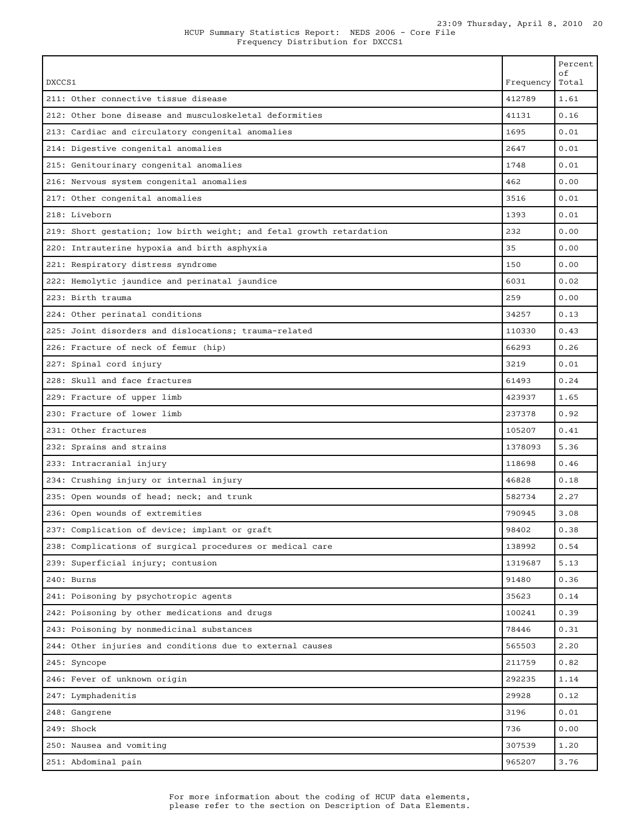|  |  | HCUP Summary Statistics Report:  NEDS 2006 - Core File |  |  |  |
|--|--|--------------------------------------------------------|--|--|--|
|  |  | Frequency Distribution for DXCCS1                      |  |  |  |

|                                                                                                 |                 | Percent<br>оf |
|-------------------------------------------------------------------------------------------------|-----------------|---------------|
| DXCCS1                                                                                          | Frequency       | Total         |
| 211: Other connective tissue disease<br>212: Other bone disease and musculoskeletal deformities | 412789<br>41131 | 1.61<br>0.16  |
|                                                                                                 | 1695            | 0.01          |
| 213: Cardiac and circulatory congenital anomalies                                               | 2647            | 0.01          |
| 214: Digestive congenital anomalies                                                             |                 |               |
| 215: Genitourinary congenital anomalies                                                         | 1748            | 0.01          |
| 216: Nervous system congenital anomalies                                                        | 462             | 0.00          |
| 217: Other congenital anomalies                                                                 | 3516            | 0.01          |
| 218: Liveborn                                                                                   | 1393            | 0.01          |
| 219: Short gestation; low birth weight; and fetal growth retardation                            | 232             | 0.00          |
| 220: Intrauterine hypoxia and birth asphyxia                                                    | 35              | 0.00          |
| 221: Respiratory distress syndrome                                                              | 150             | 0.00          |
| 222: Hemolytic jaundice and perinatal jaundice                                                  | 6031            | 0.02          |
| 223: Birth trauma                                                                               | 259             | 0.00          |
| 224: Other perinatal conditions                                                                 | 34257           | 0.13          |
| 225: Joint disorders and dislocations: trauma-related                                           | 110330          | 0.43          |
| 226: Fracture of neck of femur (hip)                                                            | 66293           | 0.26          |
| 227: Spinal cord injury                                                                         | 3219            | 0.01          |
| 228: Skull and face fractures                                                                   | 61493           | 0.24          |
| 229: Fracture of upper limb                                                                     | 423937          | 1.65          |
| 230: Fracture of lower limb                                                                     | 237378          | 0.92          |
| 231: Other fractures                                                                            | 105207          | 0.41          |
| 232: Sprains and strains                                                                        | 1378093         | 5.36          |
| 233: Intracranial injury                                                                        | 118698          | 0.46          |
| 234: Crushing injury or internal injury                                                         | 46828           | 0.18          |
| 235: Open wounds of head; neck; and trunk                                                       | 582734          | 2.27          |
| 236: Open wounds of extremities                                                                 | 790945          | 3.08          |
| 237: Complication of device; implant or graft                                                   | 98402           | 0.38          |
| 238: Complications of surgical procedures or medical care                                       | 138992          | 0.54          |
| 239: Superficial injury; contusion                                                              | 1319687         | 5.13          |
| 240: Burns                                                                                      | 91480           | 0.36          |
| 241: Poisoning by psychotropic agents                                                           | 35623           | 0.14          |
| 242: Poisoning by other medications and drugs                                                   | 100241          | 0.39          |
| 243: Poisoning by nonmedicinal substances                                                       | 78446           | 0.31          |
| 244: Other injuries and conditions due to external causes                                       | 565503          | 2.20          |
| 245: Syncope                                                                                    | 211759          | 0.82          |
| 246: Fever of unknown origin                                                                    | 292235          | 1.14          |
| 247: Lymphadenitis                                                                              | 29928           | 0.12          |
| 248: Gangrene                                                                                   | 3196            | 0.01          |
| 249: Shock                                                                                      | 736             | 0.00          |
| 250: Nausea and vomiting                                                                        | 307539          | 1.20          |
| 251: Abdominal pain                                                                             | 965207          | 3.76          |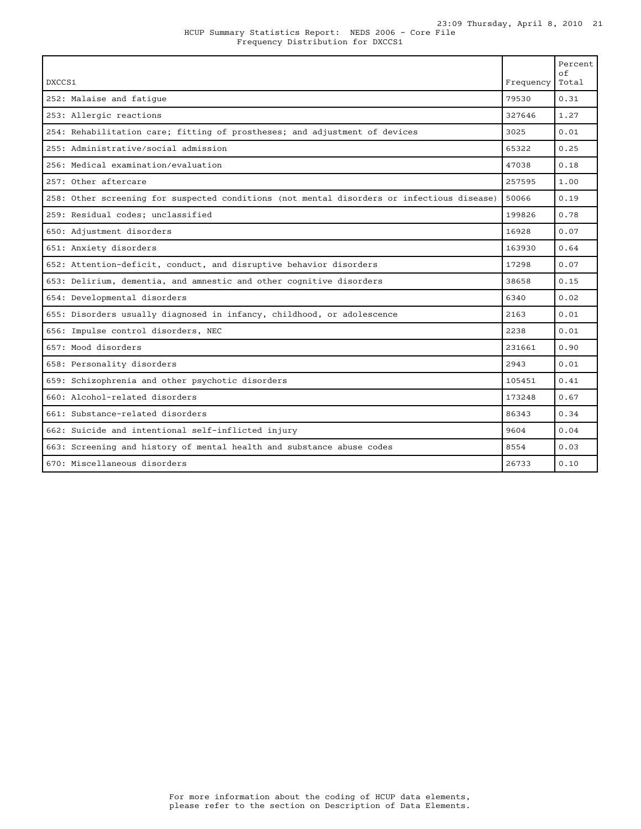| DXCCS1                                                                                     | Frequency | Percent<br>of<br>Total |
|--------------------------------------------------------------------------------------------|-----------|------------------------|
| 252: Malaise and fatique                                                                   | 79530     | 0.31                   |
| 253: Allergic reactions                                                                    | 327646    | 1.27                   |
| 254: Rehabilitation care; fitting of prostheses; and adjustment of devices                 | 3025      | 0.01                   |
| 255: Administrative/social admission                                                       | 65322     | 0.25                   |
| 256: Medical examination/evaluation                                                        | 47038     | 0.18                   |
| 257: Other aftercare                                                                       | 257595    | 1.00                   |
| 258: Other screening for suspected conditions (not mental disorders or infectious disease) | 50066     | 0.19                   |
| 259: Residual codes; unclassified                                                          | 199826    | 0.78                   |
| 650: Adjustment disorders                                                                  | 16928     | 0.07                   |
| 651: Anxiety disorders                                                                     | 163930    | 0.64                   |
| 652: Attention-deficit, conduct, and disruptive behavior disorders                         | 17298     | 0.07                   |
| 653: Delirium, dementia, and amnestic and other cognitive disorders                        | 38658     | 0.15                   |
| 654: Developmental disorders                                                               | 6340      | 0.02                   |
| 655: Disorders usually diagnosed in infancy, childhood, or adolescence                     | 2163      | 0.01                   |
| 656: Impulse control disorders, NEC                                                        | 2238      | 0.01                   |
| 657: Mood disorders                                                                        | 231661    | 0.90                   |
| 658: Personality disorders                                                                 | 2943      | 0.01                   |
| 659: Schizophrenia and other psychotic disorders                                           | 105451    | 0.41                   |
| 660: Alcohol-related disorders                                                             | 173248    | 0.67                   |
| 661: Substance-related disorders                                                           | 86343     | 0.34                   |
| 662: Suicide and intentional self-inflicted injury                                         | 9604      | 0.04                   |
| 663: Screening and history of mental health and substance abuse codes                      | 8554      | 0.03                   |
| 670: Miscellaneous disorders                                                               | 26733     | 0.10                   |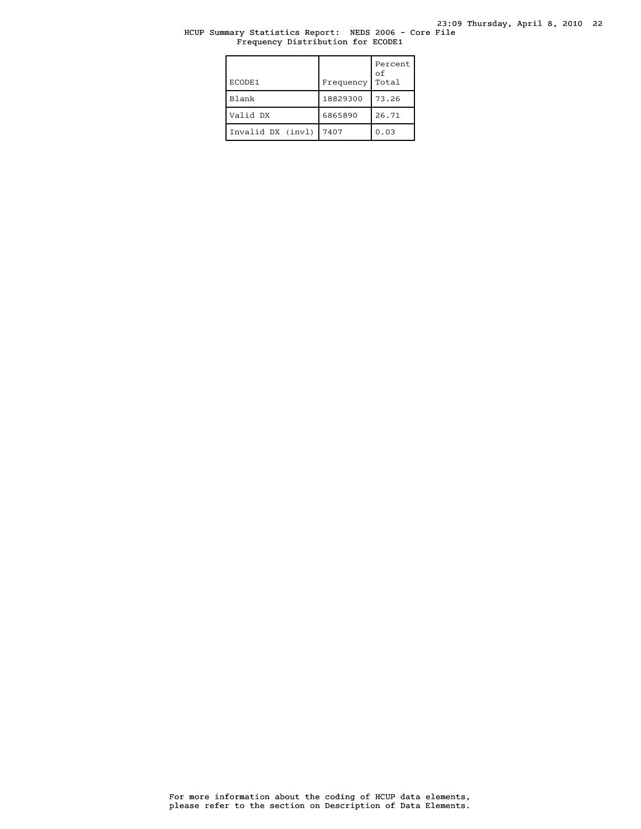# HCUP Summary Statistics Report: NEDS 2006 - Core File Frequency Distribution for ECODE1

| ECODE1            | Frequency | Percent<br>оf<br>Total |
|-------------------|-----------|------------------------|
| Blank             | 18829300  | 73.26                  |
| Valid DX          | 6865890   | 26.71                  |
| Invalid DX (invl) | 7407      | 0.03                   |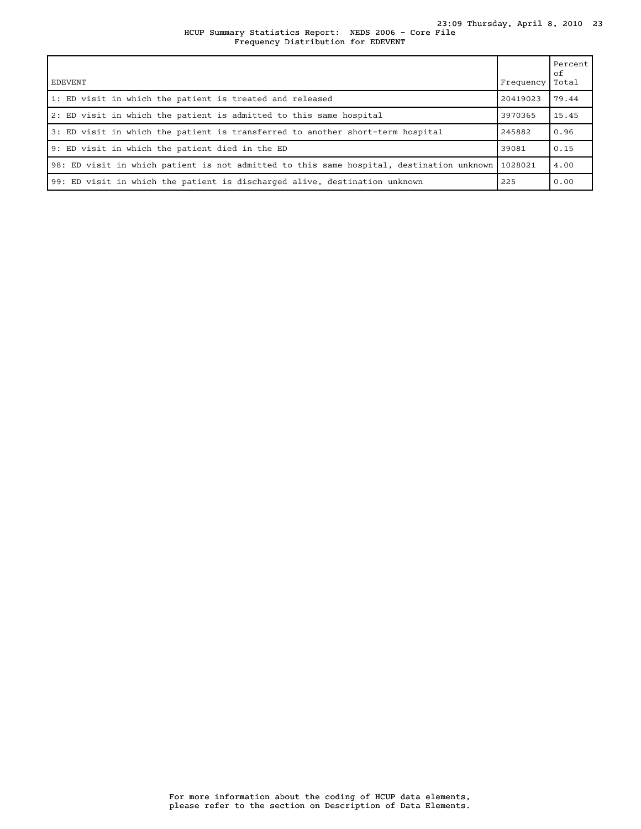### HCUP Summary Statistics Report: NEDS 2006 - Core File 23:09 Thursday, April 8, 2010 23 Frequency Distribution for EDEVENT

| EDEVENT                                                                                  | Frequency | Percent<br>оf<br>Total |
|------------------------------------------------------------------------------------------|-----------|------------------------|
| 1: ED visit in which the patient is treated and released                                 | 20419023  | 79.44                  |
| 2: ED visit in which the patient is admitted to this same hospital                       | 3970365   | 15.45                  |
| 3: ED visit in which the patient is transferred to another short-term hospital           | 245882    | 0.96                   |
| 9: ED visit in which the patient died in the ED                                          | 39081     | 0.15                   |
| 98: ED visit in which patient is not admitted to this same hospital, destination unknown | 1028021   | 4.00                   |
| 99: ED visit in which the patient is discharged alive, destination unknown               | 225       | 0.00                   |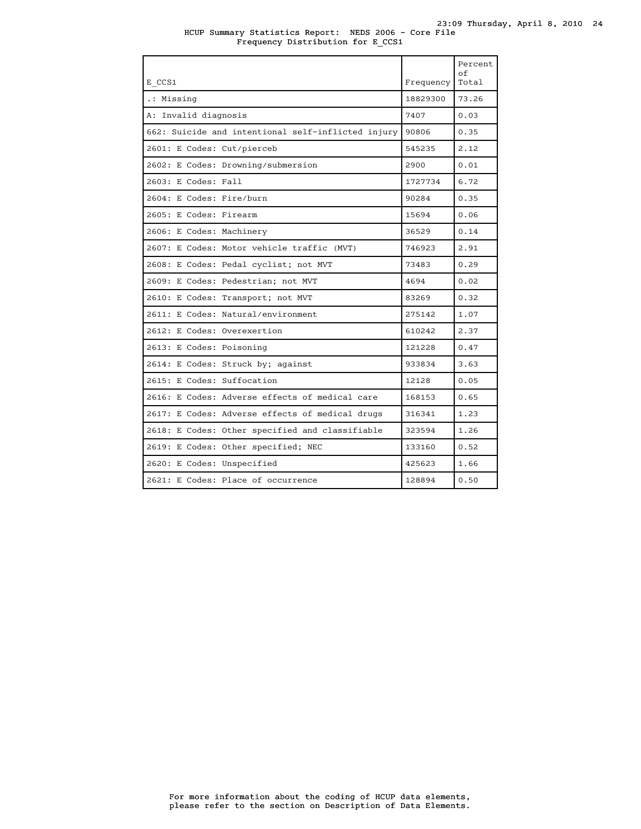| E CCS1                                             | Frequency | Percent<br>οf<br>Total |
|----------------------------------------------------|-----------|------------------------|
|                                                    |           |                        |
| .: Missing                                         | 18829300  | 73.26                  |
| A: Invalid diagnosis                               | 7407      | 0.03                   |
| 662: Suicide and intentional self-inflicted injury | 90806     | 0.35                   |
| 2601: E Codes: Cut/pierceb                         | 545235    | 2.12                   |
| 2602: E Codes: Drowning/submersion                 | 2900      | 0.01                   |
| 2603: E Codes: Fall                                | 1727734   | 6.72                   |
| 2604: E Codes: Fire/burn                           | 90284     | 0.35                   |
| 2605: E Codes: Firearm                             | 15694     | 0.06                   |
| 2606: E Codes: Machinery                           | 36529     | 0.14                   |
| 2607: E Codes: Motor vehicle traffic (MVT)         | 746923    | 2.91                   |
| 2608: E Codes: Pedal cyclist; not MVT              | 73483     | 0.29                   |
| 2609: E Codes: Pedestrian; not MVT                 | 4694      | 0.02                   |
| 2610: E Codes: Transport; not MVT                  | 83269     | 0.32                   |
| 2611: E Codes: Natural/environment                 | 275142    | 1.07                   |
| 2612: E Codes: Overexertion                        | 610242    | 2.37                   |
| 2613: E Codes: Poisoning                           | 121228    | 0.47                   |
| 2614: E Codes: Struck by; against                  | 933834    | 3.63                   |
| 2615: E Codes: Suffocation                         | 12128     | 0.05                   |
| 2616: E Codes: Adverse effects of medical care     | 168153    | 0.65                   |
| 2617: E Codes: Adverse effects of medical drugs    | 316341    | 1.23                   |
| 2618: E Codes: Other specified and classifiable    | 323594    | 1.26                   |
| 2619: E Codes: Other specified; NEC                | 133160    | 0.52                   |
| 2620: E Codes: Unspecified                         | 425623    | 1.66                   |
| 2621: E Codes: Place of occurrence                 | 128894    | 0.50                   |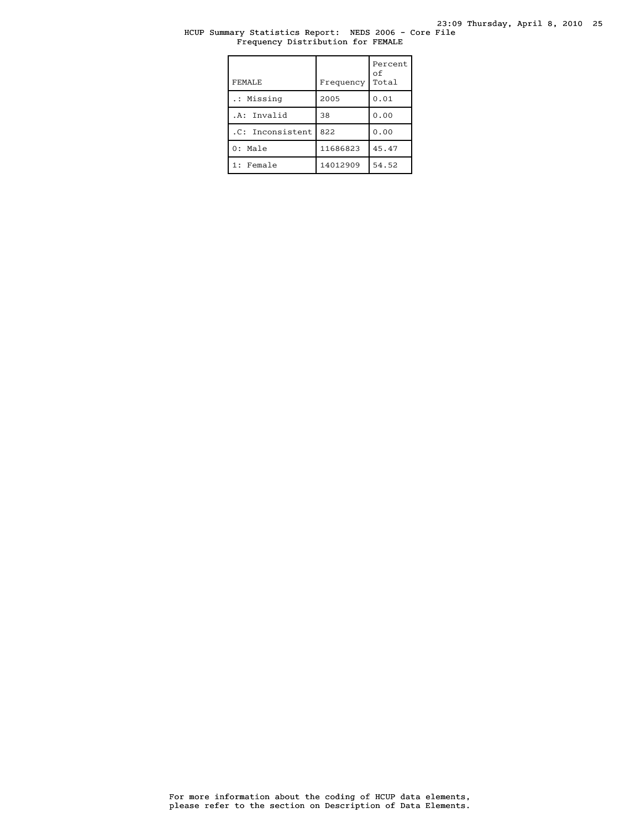# HCUP Summary Statistics Report: NEDS 2006 - Core File Frequency Distribution for FEMALE

| FEMALE           | Frequency | Percent<br>οf<br>Total |
|------------------|-----------|------------------------|
| .: Missing       | 2005      | 0.01                   |
| .A: Invalid      | 38        | 0.00                   |
| .C: Inconsistent | 822       | 0.00                   |
| $0:$ Male        | 11686823  | 45.47                  |
| 1: Female        | 14012909  | 54.52                  |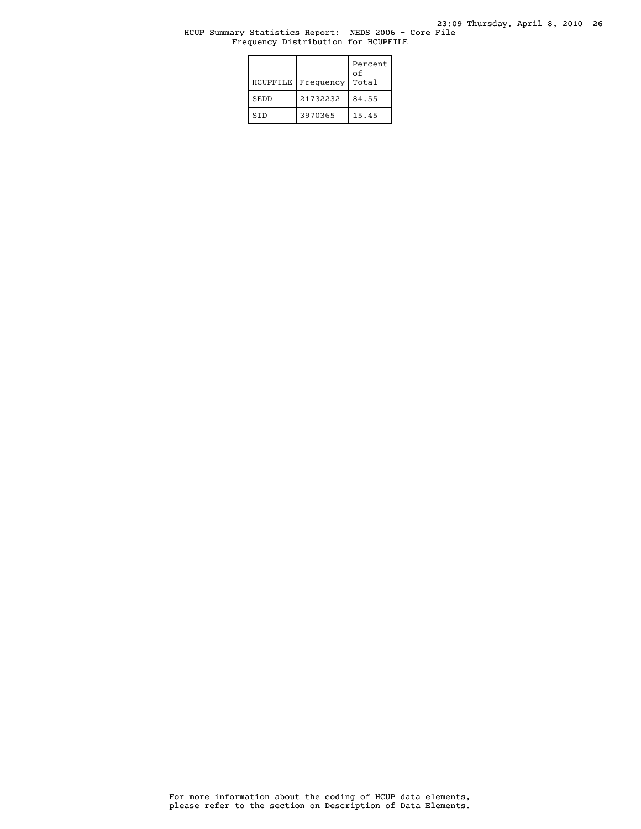### HCUP Summary Statistics Report: NEDS 2006 - Core File Frequency Distribution for HCUPFILE

| HCUPFILE    | Frequency | Percent<br>οf<br>Total |
|-------------|-----------|------------------------|
| <b>SEDD</b> | 21732232  | 84.55                  |
| <b>STD</b>  | 3970365   | 15.45                  |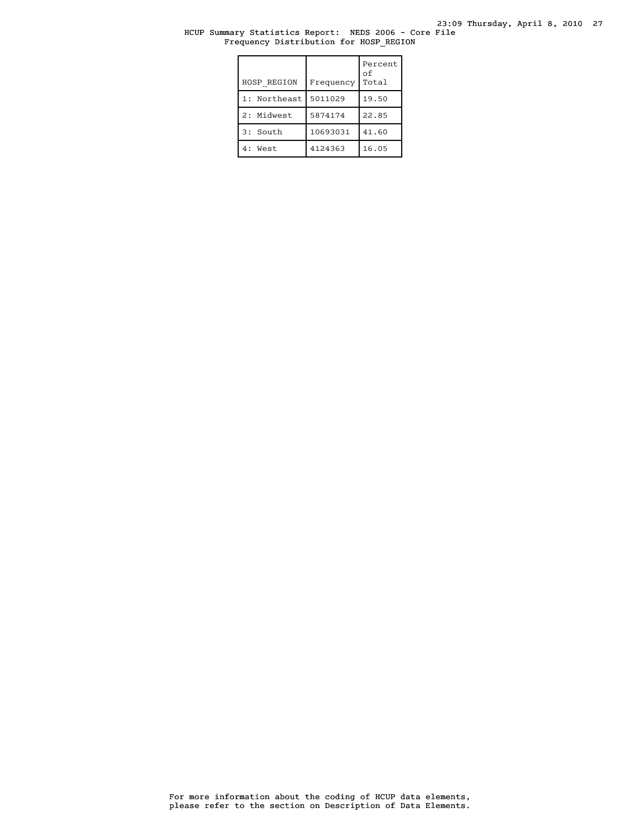23:09 Thursday, April 8, 2010 27

# HCUP Summary Statistics Report: NEDS 2006 - Core File Frequency Distribution for HOSP\_REGION

| HOSP REGION     | Frequency | Percent<br>оf<br>Total |
|-----------------|-----------|------------------------|
| Northeast<br>1: | 5011029   | 19.50                  |
| 2: Midwest      | 5874174   | 22.85                  |
| 3: South        | 10693031  | 41.60                  |
| 4: West         | 4124363   | 16.05                  |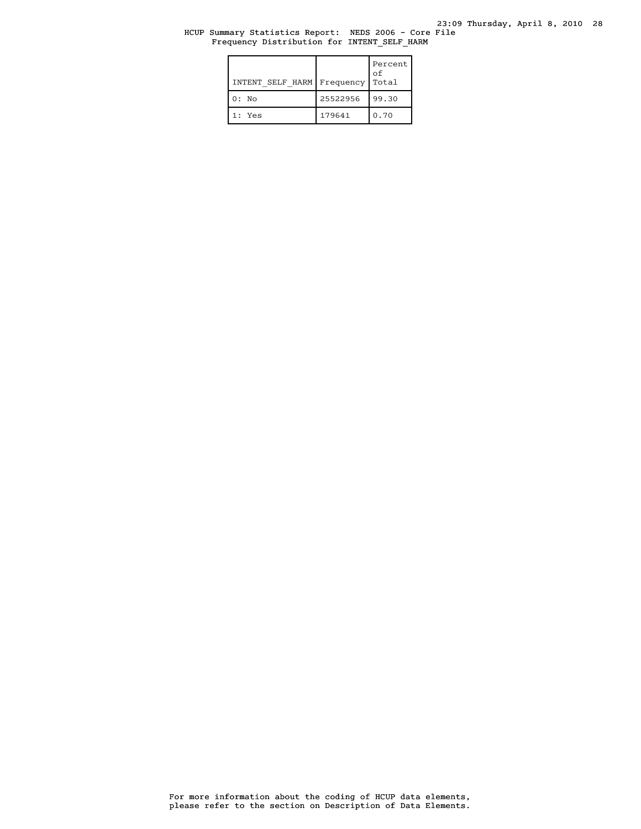HCUP Summary Statistics Report: NEDS 2006 - Core File Frequency Distribution for INTENT\_SELF\_HARM

| INTENT SELF HARM Frequency |          | Percent  <br>of<br>Total |
|----------------------------|----------|--------------------------|
| $0:$ No                    | 25522956 | 99.30                    |
| 1: Yes                     | 179641   | 0.70                     |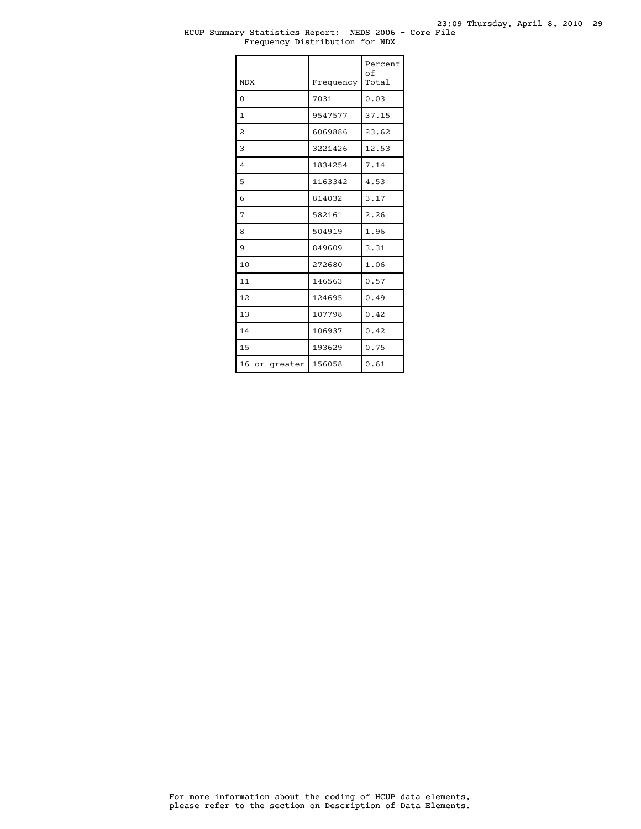#### HCUP Summary Statistics Report: NEDS 2006 - Core File Frequency Distribution for NDX

| <b>NDX</b>     | Frequency | Percent<br>of<br>Total |
|----------------|-----------|------------------------|
| $\Omega$       | 7031      | 0.03                   |
| $\mathbf{1}$   | 9547577   | 37.15                  |
| $\overline{c}$ | 6069886   | 23.62                  |
| 3              | 3221426   | 12.53                  |
| $\overline{4}$ | 1834254   | 7.14                   |
| 5              | 1163342   | 4.53                   |
| 6              | 814032    | 3.17                   |
| 7              | 582161    | 2.26                   |
| 8              | 504919    | 1.96                   |
| 9              | 849609    | 3.31                   |
| 10             | 272680    | 1.06                   |
| 11             | 146563    | 0.57                   |
| 12             | 124695    | 0.49                   |
| 13             | 107798    | 0.42                   |
| 14             | 106937    | 0.42                   |
| 15             | 193629    | 0.75                   |
| 16 or greater  | 156058    | 0.61                   |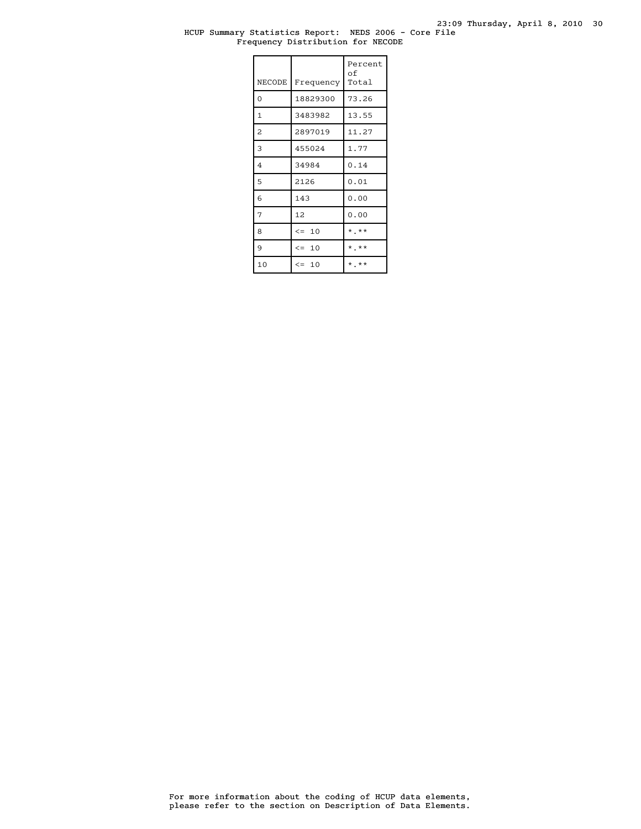### HCUP Summary Statistics Report: NEDS 2006 - Core File Frequency Distribution for NECODE

| <b>NECODE</b>  | Frequency | Percent<br>оf<br>Total  |
|----------------|-----------|-------------------------|
| $\overline{0}$ | 18829300  | 73.26                   |
| $\mathbf{1}$   | 3483982   | 13.55                   |
| 2              | 2897019   | 11.27                   |
| 3              | 455024    | 1.77                    |
| $\overline{4}$ | 34984     | 0.14                    |
| 5              | 2126      | 0.01                    |
| 6              | 143       | 0.00                    |
| 7              | 12        | 0.00                    |
| 8              | $\leq$ 10 | $\star$ $\star$ $\star$ |
| 9              | $\leq$ 10 | $*$ **                  |
| 10             | $\leq 10$ | * **                    |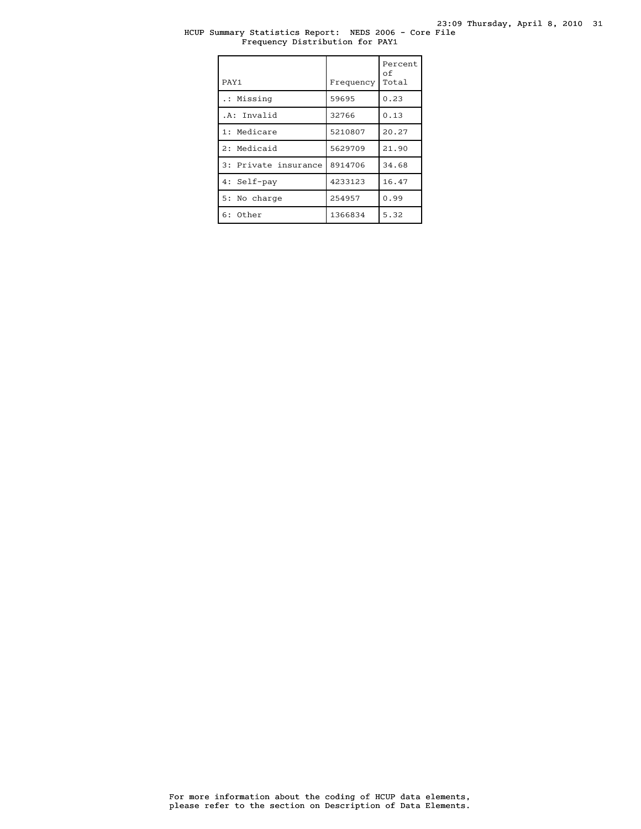# HCUP Summary Statistics Report: NEDS 2006 - Core File Frequency Distribution for PAY1

| PAY1                 | Frequency | Percent<br>оf<br>Total |
|----------------------|-----------|------------------------|
| .: Missing           | 59695     | 0.23                   |
| .A: Invalid          | 32766     | 0.13                   |
| 1: Medicare          | 5210807   | 20.27                  |
| 2: Medicaid          | 5629709   | 21.90                  |
| 3: Private insurance | 8914706   | 34.68                  |
| 4: Self-pay          | 4233123   | 16.47                  |
| 5: No charge         | 254957    | 0.99                   |
| $6:$ Other           | 1366834   | 5.32                   |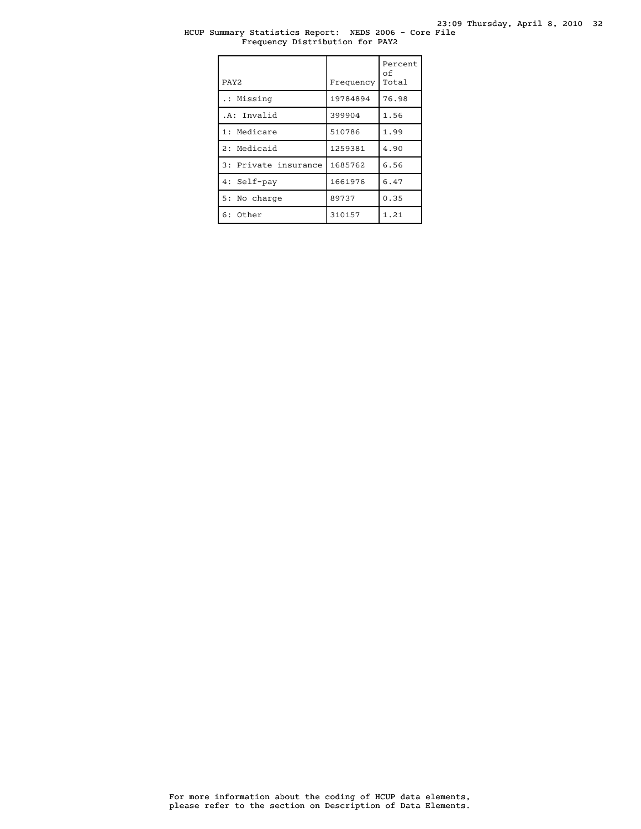# HCUP Summary Statistics Report: NEDS 2006 - Core File Frequency Distribution for PAY2

| PAY <sub>2</sub>     | Frequency | Percent<br>оf<br>Total |
|----------------------|-----------|------------------------|
| .: Missing           | 19784894  | 76.98                  |
| .A: Invalid          | 399904    | 1.56                   |
| 1: Medicare          | 510786    | 1.99                   |
| 2: Medicaid          | 1259381   | 4.90                   |
| 3: Private insurance | 1685762   | 6.56                   |
| 4: Self-pay          | 1661976   | 6.47                   |
| 5: No charge         | 89737     | 0.35                   |
| $6:$ Other           | 310157    | 1.21                   |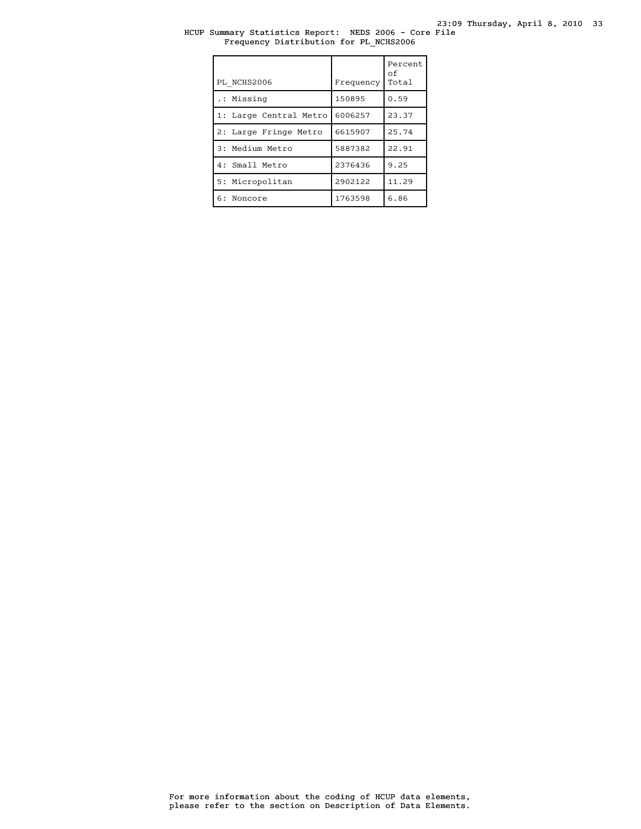# HCUP Summary Statistics Report: NEDS 2006 - Core File Frequency Distribution for PL\_NCHS2006

| PL NCHS2006            | Frequency | Percent<br>of<br>Total |
|------------------------|-----------|------------------------|
| .: Missing             | 150895    | 0.59                   |
| 1: Large Central Metro | 6006257   | 23.37                  |
| 2: Large Fringe Metro  | 6615907   | 25.74                  |
| 3: Medium Metro        | 5887382   | 22.91                  |
| 4: Small Metro         | 2376436   | 9.25                   |
| 5: Micropolitan        | 2902122   | 11.29                  |
| 6: Noncore             | 1763598   | 6.86                   |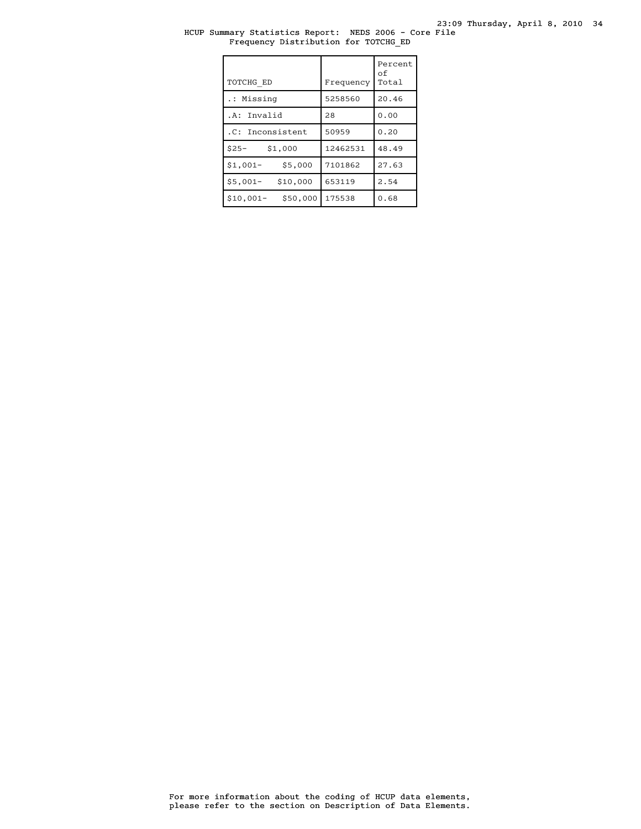# HCUP Summary Statistics Report: NEDS 2006 - Core File Frequency Distribution for TOTCHG\_ED

| TOTCHG ED              | Frequency | Percent<br>оf<br>Total |
|------------------------|-----------|------------------------|
| .: Missing             | 5258560   | 20.46                  |
| .A: Invalid            | 28        | 0.00                   |
| .C: Inconsistent       | 50959     | 0.20                   |
| $$25-$<br>\$1,000      | 12462531  | 48.49                  |
| \$5,000<br>$$1,001-$   | 7101862   | 27.63                  |
| \$10,000<br>$$5,001-$  | 653119    | 2.54                   |
| \$50,000<br>$$10,001-$ | 175538    | 0.68                   |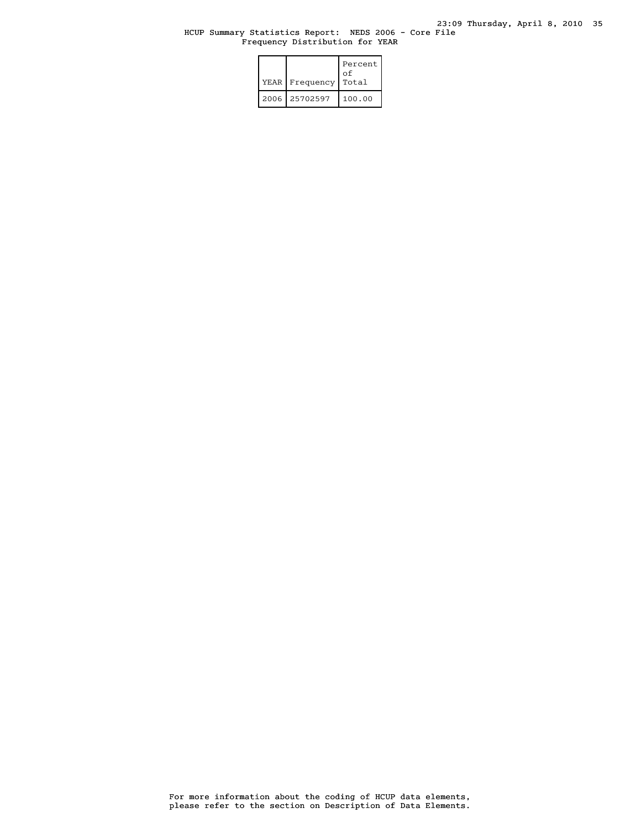# HCUP Summary Statistics Report: NEDS 2006 - Core File Frequency Distribution for YEAR

|  | YEAR Frequency | Percent<br>οf<br>Total |
|--|----------------|------------------------|
|  | 2006 25702597  | 100.00                 |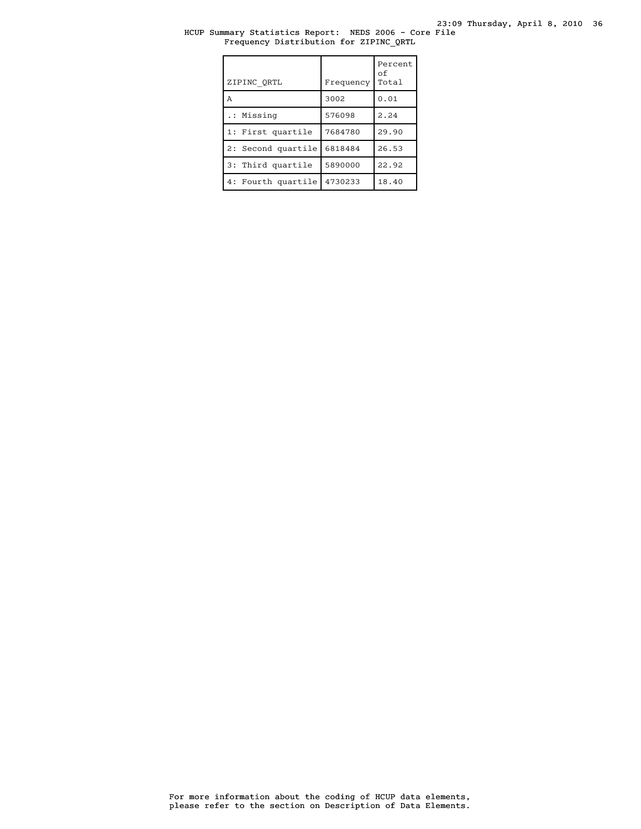# HCUP Summary Statistics Report: NEDS 2006 - Core File Frequency Distribution for ZIPINC\_QRTL

| ZIPINC QRTL        | Frequency | Percent<br>οf<br>Total |
|--------------------|-----------|------------------------|
| A                  | 3002      | 0.01                   |
| .: Missing         | 576098    | 2.24                   |
| 1: First quartile  | 7684780   | 29.90                  |
| 2: Second quartile | 6818484   | 26.53                  |
| 3: Third quartile  | 5890000   | 22.92                  |
| 4: Fourth quartile | 4730233   | 18.40                  |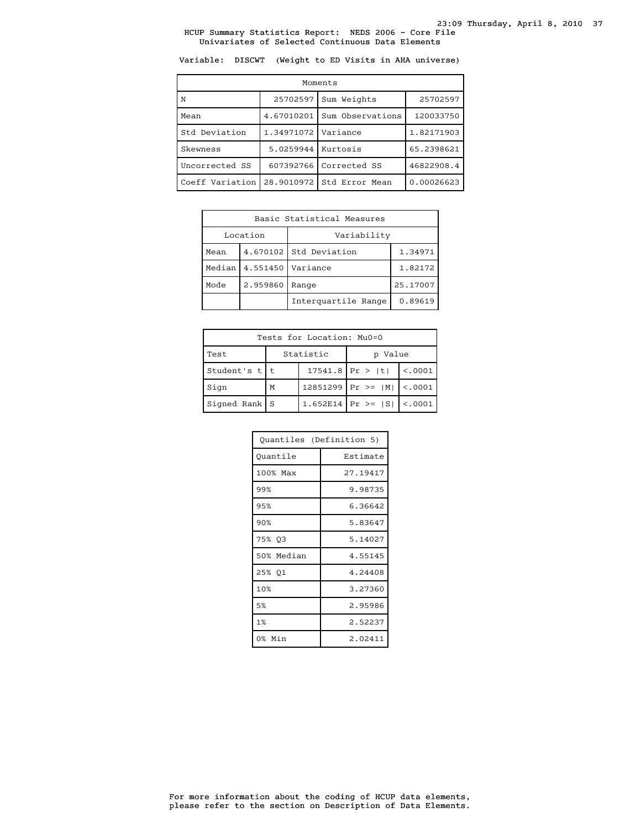Variable: DISCWT (Weight to ED Visits in AHA universe)

| Moments         |            |                  |            |  |
|-----------------|------------|------------------|------------|--|
| N               | 25702597   | Sum Weights      | 25702597   |  |
| Mean            | 4.67010201 | Sum Observations |            |  |
| Std Deviation   | 1.34971072 | Variance         | 1.82171903 |  |
| Skewness        | 5.0259944  | Kurtosis         | 65.2398621 |  |
| Uncorrected SS  | 607392766  | Corrected SS     | 46822908.4 |  |
| Coeff Variation | 28.9010972 | Std Error Mean   | 0.00026623 |  |

| Basic Statistical Measures             |  |                        |          |  |
|----------------------------------------|--|------------------------|----------|--|
| Location                               |  | Variability            |          |  |
| Mean                                   |  | 4.670102 Std Deviation | 1.34971  |  |
| Median<br>4.551450<br>Mode<br>2.959860 |  | Variance               | 1.82172  |  |
|                                        |  | Range                  | 25.17007 |  |
|                                        |  | Interquartile Range    | 0.89619  |  |

| Tests for Location: Mu0=0 |   |           |                        |          |  |  |
|---------------------------|---|-----------|------------------------|----------|--|--|
| Test                      |   | Statistic | p Value                |          |  |  |
| Student's $t$   t         |   |           | $17541.8$ Pr >  t      | < 0.0001 |  |  |
| Sign                      | M |           | $12851299$ Pr >=  M    | < .0001  |  |  |
| Signed Rank $S$           |   |           | 1.652E14   Pr >= $ S $ | < .0001  |  |  |

| Quantiles (Definition 5) |          |
|--------------------------|----------|
| Ouantile                 | Estimate |
| 100% Max                 | 27.19417 |
| 99%                      | 9.98735  |
| 95%                      | 6.36642  |
| 90%                      | 5.83647  |
| 75% 03                   | 5.14027  |
| 50% Median               | 4.55145  |
| 25% 01                   | 4.24408  |
| 10%                      | 3.27360  |
| 5%                       | 2.95986  |
| 1%                       | 2.52237  |
| 0% Min                   | 2.02411  |

please refer to the section on Description of Data Elements. For more information about the coding of HCUP data elements,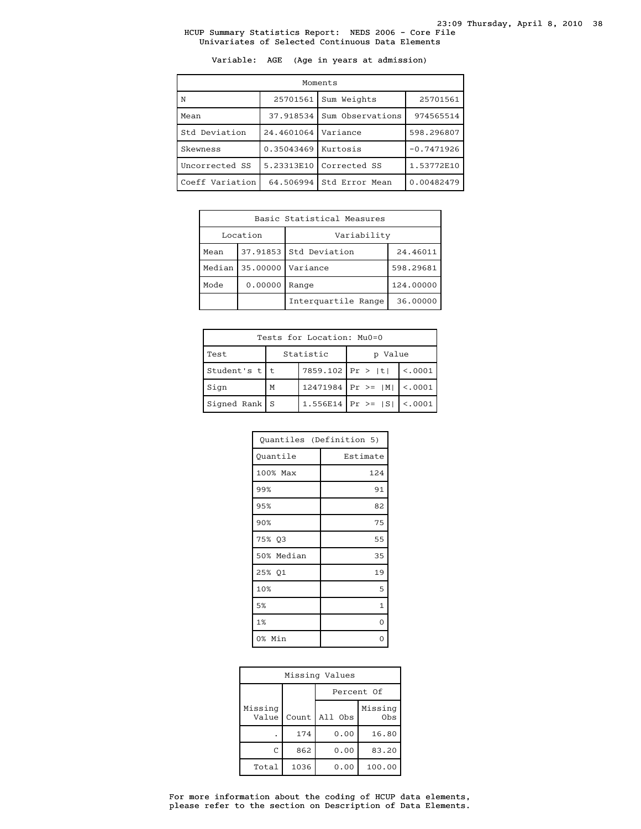Variable: AGE (Age in years at admission)

| Moments         |            |                  |              |  |
|-----------------|------------|------------------|--------------|--|
| N               | 25701561   | Sum Weights      | 25701561     |  |
| Mean            | 37.918534  | Sum Observations | 974565514    |  |
| Std Deviation   | 24.4601064 | Variance         | 598.296807   |  |
| Skewness        | 0.35043469 | Kurtosis         | $-0.7471926$ |  |
| Uncorrected SS  | 5.23313E10 | Corrected SS     | 1.53772E10   |  |
| Coeff Variation | 64.506994  | Std Error Mean   | 0.00482479   |  |

| Basic Statistical Measures |                          |                        |           |  |
|----------------------------|--------------------------|------------------------|-----------|--|
| Location                   |                          | Variability            |           |  |
| Mean                       |                          | 37.91853 Std Deviation | 24.46011  |  |
|                            | Median 35.00000 Variance |                        | 598.29681 |  |
| 0.00000<br>Mode            |                          | Range                  | 124.00000 |  |
|                            |                          | Interguartile Range    | 36,00000  |  |

| Tests for Location: Mu0=0 |   |                     |                                 |         |  |
|---------------------------|---|---------------------|---------------------------------|---------|--|
| Test                      |   | Statistic           | Value<br>D                      |         |  |
| Student's t t             |   | 7859.102   Pr >   t |                                 | < 0.001 |  |
| Sign                      | М |                     | 12471984 Pr >= $ M $ <.0001     |         |  |
| $Signal Rank$ S           |   |                     | 1.556E14   Pr >= $ S $   <.0001 |         |  |

| Quantiles (Definition 5) |              |
|--------------------------|--------------|
| Quantile                 | Estimate     |
| 100% Max                 | 124          |
| 99%                      | 91           |
| 95%                      | 82           |
| 90%                      | 75           |
| 75% Q3                   | 55           |
| 50% Median               | 35           |
| 25% Q1                   | 19           |
| 10%                      | 5            |
| 5%                       | $\mathbf{1}$ |
| 1%                       | 0            |
| 0% Min                   |              |

| Missing Values   |       |            |                            |  |
|------------------|-------|------------|----------------------------|--|
|                  |       | Percent Of |                            |  |
| Missing<br>Value | Count | All Obs    | Missing<br>0 <sub>bs</sub> |  |
|                  | 174   | 0.00       | 16.80                      |  |
| C                | 862   | 0.00       | 83.20                      |  |
| Total            | 1036  | 0.00       | 100.00                     |  |

please refer to the section on Description of Data Elements. For more information about the coding of HCUP data elements,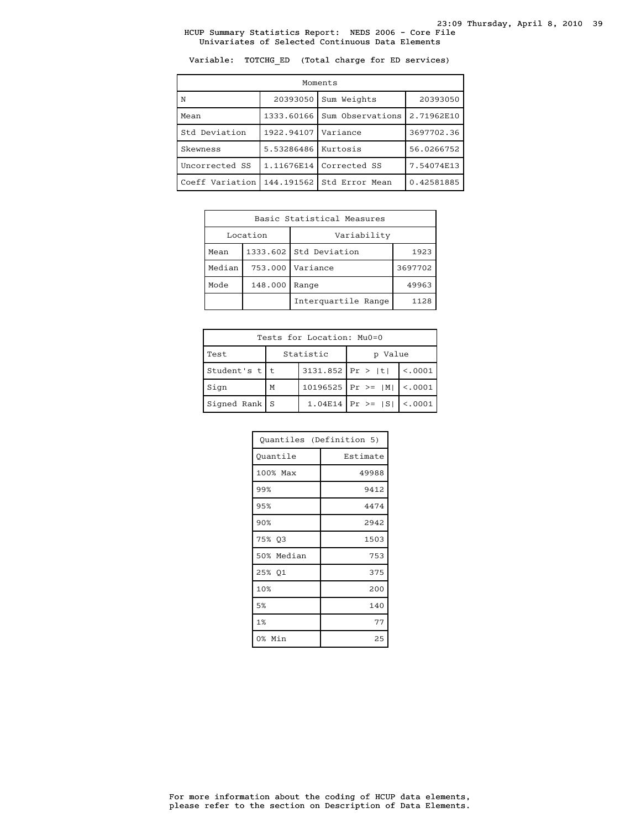Variable: TOTCHG\_ED (Total charge for ED services)

| Moments         |                         |                  |            |  |
|-----------------|-------------------------|------------------|------------|--|
| N               | 20393050<br>Sum Weights |                  | 20393050   |  |
| Mean            | 1333.60166              | Sum Observations | 2.71962E10 |  |
| Std Deviation   | 1922.94107              | Variance         | 3697702.36 |  |
| Skewness        | 5.53286486              | Kurtosis         | 56.0266752 |  |
| Uncorrected SS  | 1.11676E14              | Corrected SS     | 7.54074E13 |  |
| Coeff Variation | 144.191562              | Std Error Mean   | 0.42581885 |  |

| Basic Statistical Measures |         |                        |         |  |  |  |
|----------------------------|---------|------------------------|---------|--|--|--|
| Location                   |         | Variability            |         |  |  |  |
| Mean                       |         | 1333.602 Std Deviation | 1923    |  |  |  |
| Median                     | 753.000 | Variance               | 3697702 |  |  |  |
| Mode                       | 148.000 | Range                  | 49963   |  |  |  |
|                            |         | Interquartile Range    | 1128    |  |  |  |

| Tests for Location: Mu0=0 |           |                    |                                 |          |  |  |  |  |
|---------------------------|-----------|--------------------|---------------------------------|----------|--|--|--|--|
| Test                      | Statistic |                    | Value                           |          |  |  |  |  |
| Student's $t$   t         |           | $3131.852$ Pr >  t |                                 | < 0.0001 |  |  |  |  |
| Sign                      | M         |                    | 10196525   Pr >= $ M $   <.0001 |          |  |  |  |  |
| $Signal Rank$ S           |           |                    | 1.04E14 $ Pr \ge  S $ <.0001    |          |  |  |  |  |

| Quantiles (Definition 5) |          |  |  |
|--------------------------|----------|--|--|
| Quantile                 | Estimate |  |  |
| 100% Max                 | 49988    |  |  |
| 99%                      | 9412     |  |  |
| 95%                      | 4474     |  |  |
| 90%                      | 2942     |  |  |
| 75% Q3                   | 1503     |  |  |
| 50% Median               | 753      |  |  |
| 25% 01                   | 375      |  |  |
| 10%                      | 200      |  |  |
| 5%                       | 140      |  |  |
| 1%                       | 77       |  |  |
| 0% Min                   | 25       |  |  |